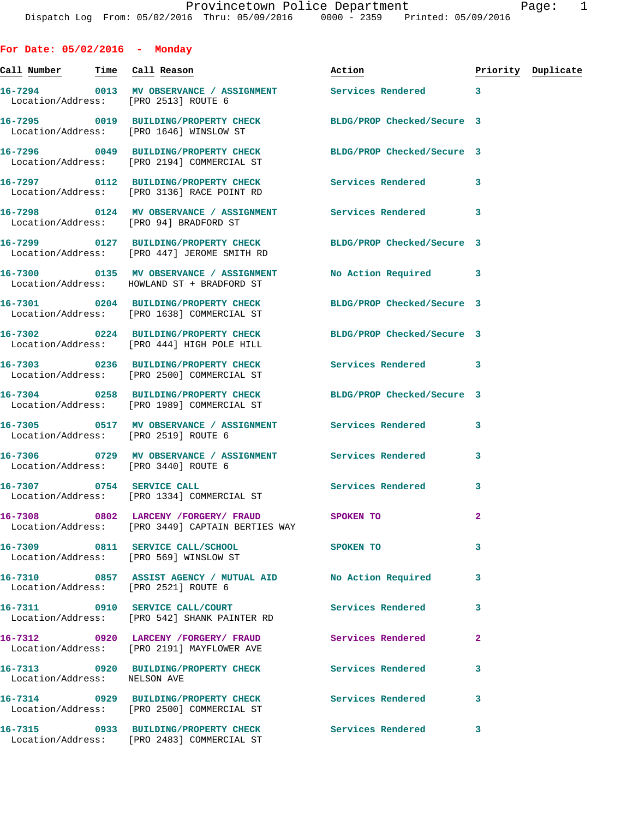**For Date: 05/02/2016 - Monday Call Number Time Call Reason Action Priority Duplicate 16-7294 0013 MV OBSERVANCE / ASSIGNMENT Services Rendered 3**  Location/Address: [PRO 2513] ROUTE 6 **16-7295 0019 BUILDING/PROPERTY CHECK BLDG/PROP Checked/Secure 3**  Location/Address: [PRO 1646] WINSLOW ST **16-7296 0049 BUILDING/PROPERTY CHECK BLDG/PROP Checked/Secure 3**  Location/Address: [PRO 2194] COMMERCIAL ST **16-7297 0112 BUILDING/PROPERTY CHECK Services Rendered 3**  Location/Address: [PRO 3136] RACE POINT RD **16-7298 0124 MV OBSERVANCE / ASSIGNMENT Services Rendered 3**  Location/Address: [PRO 94] BRADFORD ST **16-7299 0127 BUILDING/PROPERTY CHECK BLDG/PROP Checked/Secure 3**  Location/Address: [PRO 447] JEROME SMITH RD **16-7300 0135 MV OBSERVANCE / ASSIGNMENT No Action Required 3**  Location/Address: HOWLAND ST + BRADFORD ST **16-7301 0204 BUILDING/PROPERTY CHECK BLDG/PROP Checked/Secure 3**  Location/Address: [PRO 1638] COMMERCIAL ST **16-7302 0224 BUILDING/PROPERTY CHECK BLDG/PROP Checked/Secure 3**  Location/Address: [PRO 444] HIGH POLE HILL **16-7303 0236 BUILDING/PROPERTY CHECK Services Rendered 3**  Location/Address: [PRO 2500] COMMERCIAL ST **16-7304 0258 BUILDING/PROPERTY CHECK BLDG/PROP Checked/Secure 3**  Location/Address: [PRO 1989] COMMERCIAL ST **16-7305 0517 MV OBSERVANCE / ASSIGNMENT Services Rendered 3**  Location/Address: [PRO 2519] ROUTE 6 **16-7306 0729 MV OBSERVANCE / ASSIGNMENT Services Rendered 3**  Location/Address: [PRO 3440] ROUTE 6 16-7307 **0754** SERVICE CALL **SERVICE CALL** Services Rendered 3 Location/Address: [PRO 1334] COMMERCIAL ST **16-7308 0802 LARCENY /FORGERY/ FRAUD SPOKEN TO 2**  Location/Address: [PRO 3449] CAPTAIN BERTIES WAY **16-7309 0811 SERVICE CALL/SCHOOL SPOKEN TO 3**  Location/Address: [PRO 569] WINSLOW ST **16-7310 0857 ASSIST AGENCY / MUTUAL AID No Action Required 3**  Location/Address: [PRO 2521] ROUTE 6 **16-7311 0910 SERVICE CALL/COURT Services Rendered 3**  Location/Address: [PRO 542] SHANK PAINTER RD **16-7312 0920 LARCENY /FORGERY/ FRAUD Services Rendered 2**  Location/Address: [PRO 2191] MAYFLOWER AVE **16-7313 0920 BUILDING/PROPERTY CHECK Services Rendered 3**  Location/Address: NELSON AVE **16-7314 0929 BUILDING/PROPERTY CHECK Services Rendered 3**  Location/Address: [PRO 2500] COMMERCIAL ST

Location/Address: [PRO 2483] COMMERCIAL ST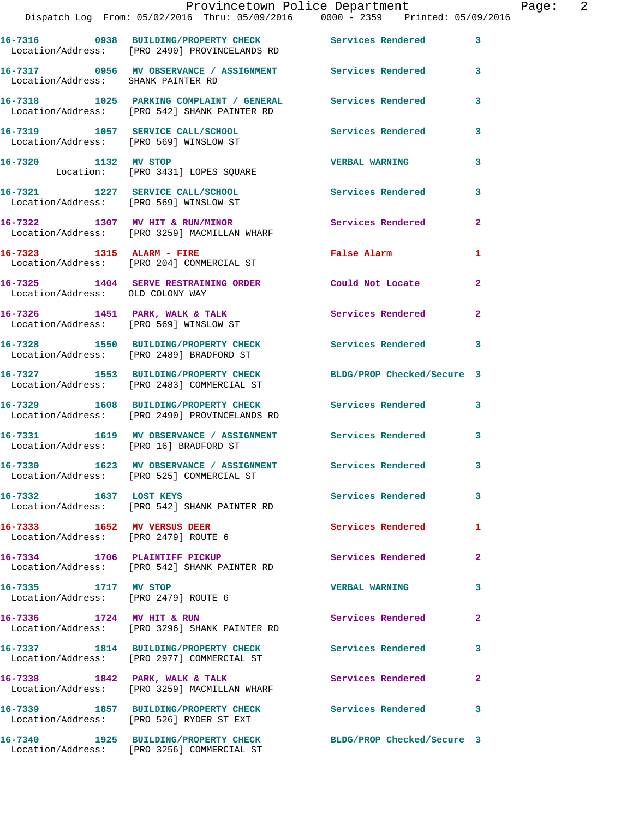|                                                                     | Provincetown Police Department<br>Dispatch Log From: 05/02/2016 Thru: 05/09/2016 0000 - 2359 Printed: 05/09/2016 |                            |              |
|---------------------------------------------------------------------|------------------------------------------------------------------------------------------------------------------|----------------------------|--------------|
|                                                                     | 16-7316 0938 BUILDING/PROPERTY CHECK Services Rendered 3<br>Location/Address: [PRO 2490] PROVINCELANDS RD        |                            |              |
| Location/Address: SHANK PAINTER RD                                  | 16-7317 0956 MV OBSERVANCE / ASSIGNMENT Services Rendered                                                        |                            | 3            |
|                                                                     | 16-7318 1025 PARKING COMPLAINT / GENERAL Services Rendered<br>Location/Address: [PRO 542] SHANK PAINTER RD       |                            | 3            |
|                                                                     | 16-7319 1057 SERVICE CALL/SCHOOL 100 Services Rendered<br>Location/Address: [PRO 569] WINSLOW ST                 |                            | 3            |
|                                                                     | 16-7320 1132 MV STOP<br>Location: [PRO 3431] LOPES SQUARE                                                        | <b>VERBAL WARNING</b>      | 3            |
|                                                                     | 16-7321 1227 SERVICE CALL/SCHOOL Services Rendered<br>Location/Address: [PRO 569] WINSLOW ST                     |                            | 3            |
|                                                                     | 16-7322 1307 MV HIT & RUN/MINOR<br>Location/Address: [PRO 3259] MACMILLAN WHARF                                  | Services Rendered          | $\mathbf{2}$ |
|                                                                     | 16-7323 1315 ALARM - FIRE<br>Location/Address: [PRO 204] COMMERCIAL ST                                           | False Alarm                | 1            |
| Location/Address: OLD COLONY WAY                                    | 16-7325 1404 SERVE RESTRAINING ORDER                                                                             | Could Not Locate           | $\mathbf{2}$ |
|                                                                     | $16 - 7326$ 1451 PARK, WALK & TALK<br>Location/Address: [PRO 569] WINSLOW ST                                     | Services Rendered          | $\mathbf{2}$ |
|                                                                     | 16-7328 1550 BUILDING/PROPERTY CHECK Services Rendered 3<br>Location/Address: [PRO 2489] BRADFORD ST             |                            |              |
|                                                                     | 16-7327 1553 BUILDING/PROPERTY CHECK<br>Location/Address: [PRO 2483] COMMERCIAL ST                               | BLDG/PROP Checked/Secure 3 |              |
|                                                                     | 16-7329 1608 BUILDING/PROPERTY CHECK Services Rendered 3<br>Location/Address: [PRO 2490] PROVINCELANDS RD        |                            |              |
| Location/Address: [PRO 16] BRADFORD ST                              | 16-7331 1619 MV OBSERVANCE / ASSIGNMENT Services Rendered                                                        |                            | $\mathbf{3}$ |
|                                                                     | 16-7330 1623 MV OBSERVANCE / ASSIGNMENT<br>Location/Address: [PRO 525] COMMERCIAL ST                             | Services Rendered          | 3            |
| 16-7332 1637 LOST KEYS                                              | Location/Address: [PRO 542] SHANK PAINTER RD                                                                     | Services Rendered          | 3            |
| 16-7333 1652 MV VERSUS DEER<br>Location/Address: [PRO 2479] ROUTE 6 |                                                                                                                  | Services Rendered          | 1            |
|                                                                     | 16-7334 1706 PLAINTIFF PICKUP<br>Location/Address: [PRO 542] SHANK PAINTER RD                                    | Services Rendered          | $\mathbf{2}$ |
| 16-7335 1717 MV STOP                                                | Location/Address: [PRO 2479] ROUTE 6                                                                             | <b>VERBAL WARNING</b>      | 3            |
|                                                                     | 16-7336 1724 MV HIT & RUN<br>Location/Address: [PRO 3296] SHANK PAINTER RD                                       | Services Rendered          | $\mathbf{2}$ |
|                                                                     | 16-7337 1814 BUILDING/PROPERTY CHECK Services Rendered<br>Location/Address: [PRO 2977] COMMERCIAL ST             |                            | 3            |
|                                                                     | 16-7338 1842 PARK, WALK & TALK<br>Location/Address: [PRO 3259] MACMILLAN WHARF                                   | Services Rendered          | $\mathbf{2}$ |
|                                                                     | 16-7339 1857 BUILDING/PROPERTY CHECK Services Rendered<br>Location/Address: [PRO 526] RYDER ST EXT               |                            | 3            |
|                                                                     | 16-7340 1925 BUILDING/PROPERTY CHECK                                                                             | BLDG/PROP Checked/Secure 3 |              |

Location/Address: [PRO 3256] COMMERCIAL ST

Page: 2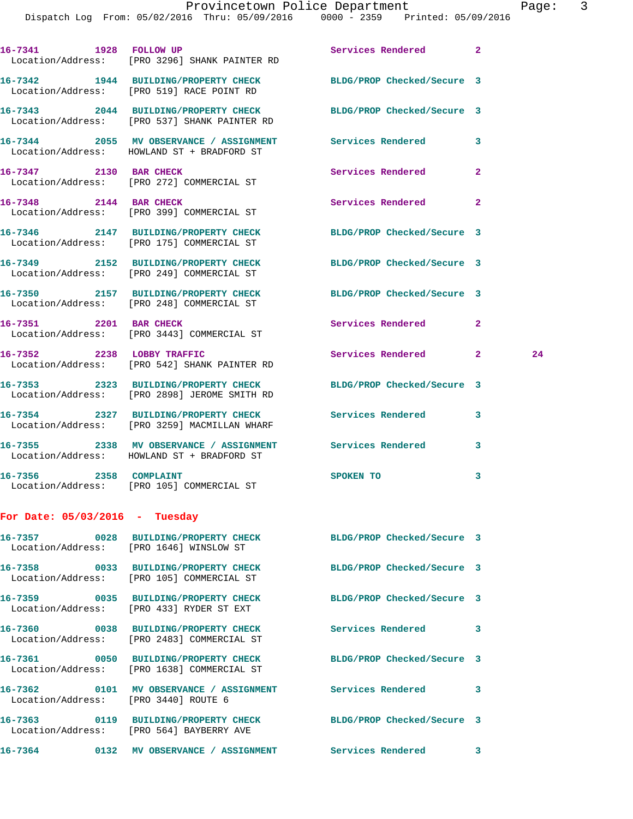|                                      | 16-7341 1928 FOLLOW UP<br>Location/Address: [PRO 3296] SHANK PAINTER RD               | Services Rendered          | $\overline{2}$ |    |
|--------------------------------------|---------------------------------------------------------------------------------------|----------------------------|----------------|----|
|                                      | 16-7342 1944 BUILDING/PROPERTY CHECK<br>Location/Address: [PRO 519] RACE POINT RD     | BLDG/PROP Checked/Secure 3 |                |    |
|                                      | 16-7343 2044 BUILDING/PROPERTY CHECK<br>Location/Address: [PRO 537] SHANK PAINTER RD  | BLDG/PROP Checked/Secure 3 |                |    |
|                                      | 16-7344 2055 MV OBSERVANCE / ASSIGNMENT<br>Location/Address: HOWLAND ST + BRADFORD ST | Services Rendered          | 3              |    |
| 16-7347 2130 BAR CHECK               | Location/Address: [PRO 272] COMMERCIAL ST                                             | Services Rendered          | $\overline{a}$ |    |
| 16-7348 2144 BAR CHECK               | Location/Address: [PRO 399] COMMERCIAL ST                                             | Services Rendered          | $\mathbf{2}$   |    |
|                                      | 16-7346 2147 BUILDING/PROPERTY CHECK<br>Location/Address: [PRO 175] COMMERCIAL ST     | BLDG/PROP Checked/Secure 3 |                |    |
|                                      | 16-7349 2152 BUILDING/PROPERTY CHECK<br>Location/Address: [PRO 249] COMMERCIAL ST     | BLDG/PROP Checked/Secure 3 |                |    |
|                                      | 16-7350 2157 BUILDING/PROPERTY CHECK<br>Location/Address: [PRO 248] COMMERCIAL ST     | BLDG/PROP Checked/Secure 3 |                |    |
| 16-7351 2201 BAR CHECK               | Location/Address: [PRO 3443] COMMERCIAL ST                                            | Services Rendered          | $\overline{a}$ |    |
|                                      | 16-7352 2238 LOBBY TRAFFIC<br>Location/Address: [PRO 542] SHANK PAINTER RD            | Services Rendered          | $\overline{2}$ | 24 |
|                                      | 16-7353 2323 BUILDING/PROPERTY CHECK<br>Location/Address: [PRO 2898] JEROME SMITH RD  | BLDG/PROP Checked/Secure 3 |                |    |
|                                      | 16-7354 2327 BUILDING/PROPERTY CHECK<br>Location/Address: [PRO 3259] MACMILLAN WHARF  | <b>Services Rendered</b>   | 3              |    |
|                                      | 16-7355 2338 MV OBSERVANCE / ASSIGNMENT<br>Location/Address: HOWLAND ST + BRADFORD ST | <b>Services Rendered</b>   | 3              |    |
| 16-7356 2358 COMPLAINT               | Location/Address: [PRO 105] COMMERCIAL ST                                             | SPOKEN TO                  | 3              |    |
| For Date: $05/03/2016$ - Tuesday     |                                                                                       |                            |                |    |
|                                      | 16-7357 0028 BUILDING/PROPERTY CHECK<br>Location/Address: [PRO 1646] WINSLOW ST       | BLDG/PROP Checked/Secure 3 |                |    |
|                                      | 16-7358 0033 BUILDING/PROPERTY CHECK<br>Location/Address: [PRO 105] COMMERCIAL ST     | BLDG/PROP Checked/Secure 3 |                |    |
|                                      | 16-7359 0035 BUILDING/PROPERTY CHECK<br>Location/Address: [PRO 433] RYDER ST EXT      | BLDG/PROP Checked/Secure 3 |                |    |
|                                      | 16-7360 0038 BUILDING/PROPERTY CHECK<br>Location/Address: [PRO 2483] COMMERCIAL ST    | <b>Services Rendered</b>   | 3              |    |
|                                      | Location/Address: [PRO 1638] COMMERCIAL ST                                            | BLDG/PROP Checked/Secure 3 |                |    |
| Location/Address: [PRO 3440] ROUTE 6 | 16-7362 0101 MV OBSERVANCE / ASSIGNMENT                                               | <b>Services Rendered</b>   | 3              |    |
|                                      | 16-7363 0119 BUILDING/PROPERTY CHECK<br>Location/Address: [PRO 564] BAYBERRY AVE      | BLDG/PROP Checked/Secure 3 |                |    |
|                                      | 16-7364 0132 MV OBSERVANCE / ASSIGNMENT Services Rendered 3                           |                            |                |    |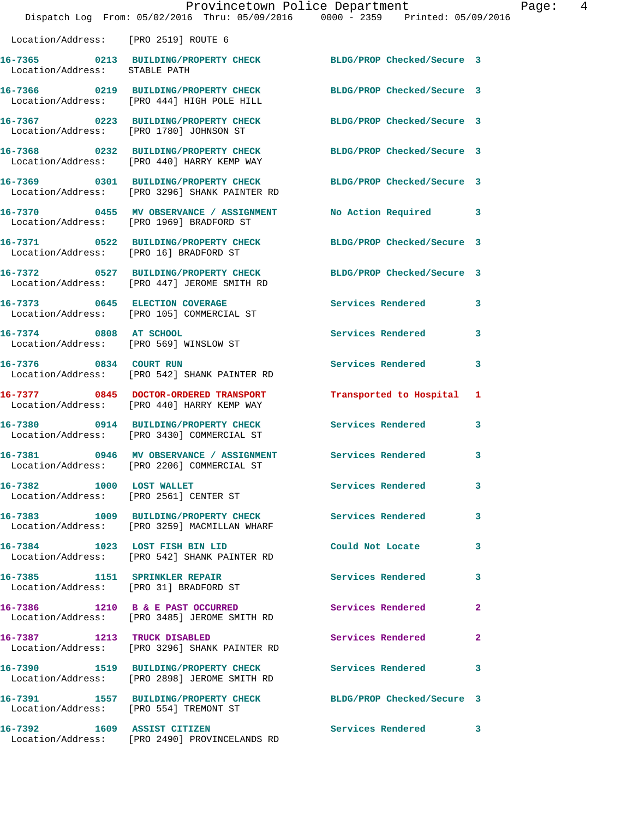|                                        |                                                                                                            | Provincetown Police Department | Page: 4      |
|----------------------------------------|------------------------------------------------------------------------------------------------------------|--------------------------------|--------------|
|                                        | Dispatch Log From: 05/02/2016 Thru: 05/09/2016 0000 - 2359 Printed: 05/09/2016                             |                                |              |
| Location/Address: [PRO 2519] ROUTE 6   |                                                                                                            |                                |              |
| Location/Address: STABLE PATH          | 16-7365 0213 BUILDING/PROPERTY CHECK BLDG/PROP Checked/Secure 3                                            |                                |              |
|                                        | 16-7366 0219 BUILDING/PROPERTY CHECK<br>Location/Address: [PRO 444] HIGH POLE HILL                         | BLDG/PROP Checked/Secure 3     |              |
|                                        | 16-7367 0223 BUILDING/PROPERTY CHECK BLDG/PROP Checked/Secure 3<br>Location/Address: [PRO 1780] JOHNSON ST |                                |              |
|                                        | 16-7368 0232 BUILDING/PROPERTY CHECK<br>Location/Address: [PRO 440] HARRY KEMP WAY                         | BLDG/PROP Checked/Secure 3     |              |
|                                        | 16-7369 0301 BUILDING/PROPERTY CHECK<br>Location/Address: [PRO 3296] SHANK PAINTER RD                      | BLDG/PROP Checked/Secure 3     |              |
|                                        | 16-7370 0455 MV OBSERVANCE / ASSIGNMENT<br>Location/Address: [PRO 1969] BRADFORD ST                        | No Action Required 3           |              |
| Location/Address: [PRO 16] BRADFORD ST | 16-7371 0522 BUILDING/PROPERTY CHECK BLDG/PROP Checked/Secure 3                                            |                                |              |
|                                        | 16-7372 0527 BUILDING/PROPERTY CHECK<br>Location/Address: [PRO 447] JEROME SMITH RD                        | BLDG/PROP Checked/Secure 3     |              |
|                                        | 16-7373 0645 ELECTION COVERAGE<br>Location/Address: [PRO 105] COMMERCIAL ST                                | Services Rendered              | 3            |
| Location/Address: [PRO 569] WINSLOW ST | 16-7374 0808 AT SCHOOL                                                                                     | Services Rendered              | $\mathbf{3}$ |
|                                        | 16-7376 0834 COURT RUN<br>Location/Address: [PRO 542] SHANK PAINTER RD                                     | Services Rendered              | 3            |
|                                        | 16-7377 0845 DOCTOR-ORDERED TRANSPORT<br>Location/Address: [PRO 440] HARRY KEMP WAY                        | Transported to Hospital 1      |              |
|                                        | 16-7380 0914 BUILDING/PROPERTY CHECK<br>Location/Address: [PRO 3430] COMMERCIAL ST                         | <b>Services Rendered</b>       | 3            |
|                                        | 16-7381 0946 MV OBSERVANCE / ASSIGNMENT Services Rendered 3<br>Location/Address: [PRO 2206] COMMERCIAL ST  |                                |              |
|                                        | 16-7382 1000 LOST WALLET<br>Location/Address: [PRO 2561] CENTER ST                                         | Services Rendered 3            |              |
|                                        | 16-7383 1009 BUILDING/PROPERTY CHECK Services Rendered 3<br>Location/Address: [PRO 3259] MACMILLAN WHARF   |                                |              |
|                                        | 16-7384 1023 LOST FISH BIN LID<br>Location/Address: [PRO 542] SHANK PAINTER RD                             | Could Not Locate               | 3            |
|                                        | 16-7385 1151 SPRINKLER REPAIR<br>Location/Address: [PRO 31] BRADFORD ST                                    | <b>Services Rendered</b>       | $\mathbf{3}$ |
|                                        | 16-7386 1210 B & E PAST OCCURRED<br>Location/Address: [PRO 3485] JEROME SMITH RD                           | Services Rendered              | $\mathbf{2}$ |
|                                        | 16-7387 1213 TRUCK DISABLED<br>Location/Address: [PRO 3296] SHANK PAINTER RD                               | Services Rendered              | $\mathbf{2}$ |
|                                        | 16-7390 1519 BUILDING/PROPERTY CHECK<br>Location/Address: [PRO 2898] JEROME SMITH RD                       | <b>Services Rendered</b> 3     |              |
| Location/Address: [PRO 554] TREMONT ST | 16-7391 1557 BUILDING/PROPERTY CHECK BLDG/PROP Checked/Secure 3                                            |                                |              |
| 16-7392 1609 ASSIST CITIZEN            | Location/Address: [PRO 2490] PROVINCELANDS RD                                                              | Services Rendered 3            |              |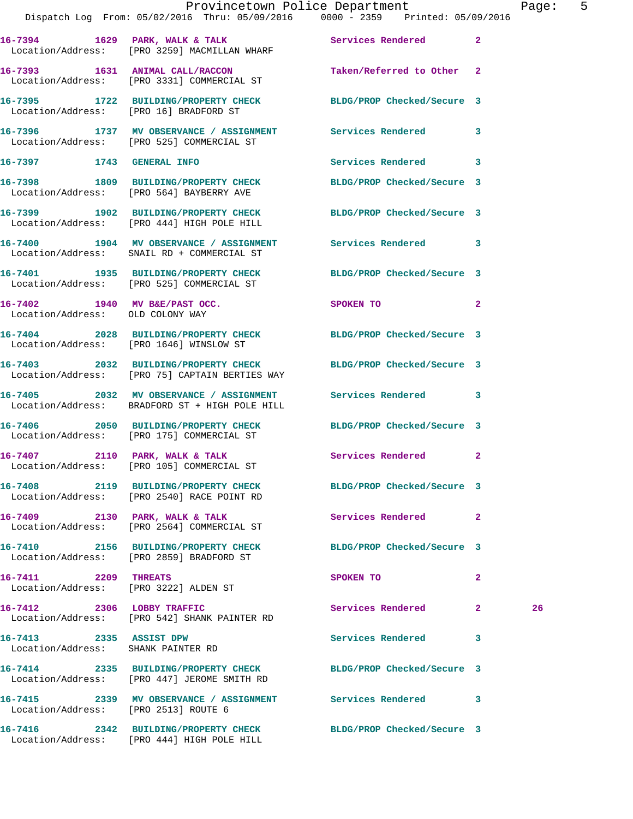|                                                               | Dispatch Log From: 05/02/2016 Thru: 05/09/2016 0000 - 2359 Printed: 05/09/2016                                | Provincetown Police Department          |              | Page: 5 |  |
|---------------------------------------------------------------|---------------------------------------------------------------------------------------------------------------|-----------------------------------------|--------------|---------|--|
|                                                               | 16-7394 1629 PARK, WALK & TALK 1999 Services Rendered 2<br>Location/Address: [PRO 3259] MACMILLAN WHARF       |                                         |              |         |  |
|                                                               | 16-7393 1631 ANIMAL CALL/RACCON<br>Location/Address: [PRO 3331] COMMERCIAL ST                                 | Taken/Referred to Other 2               |              |         |  |
| Location/Address: [PRO 16] BRADFORD ST                        | 16-7395 1722 BUILDING/PROPERTY CHECK BLDG/PROP Checked/Secure 3                                               |                                         |              |         |  |
|                                                               | 16-7396 1737 MV OBSERVANCE / ASSIGNMENT Services Rendered 3<br>Location/Address: [PRO 525] COMMERCIAL ST      |                                         |              |         |  |
| 16-7397 1743 GENERAL INFO                                     |                                                                                                               | Services Rendered 3                     |              |         |  |
|                                                               | 16-7398 1809 BUILDING/PROPERTY CHECK<br>Location/Address: [PRO 564] BAYBERRY AVE                              | BLDG/PROP Checked/Secure 3              |              |         |  |
|                                                               | 16-7399 1902 BUILDING/PROPERTY CHECK<br>Location/Address: [PRO 444] HIGH POLE HILL                            | BLDG/PROP Checked/Secure 3              |              |         |  |
|                                                               | 16-7400 1904 MV OBSERVANCE / ASSIGNMENT Services Rendered 3<br>Location/Address: SNAIL RD + COMMERCIAL ST     |                                         |              |         |  |
|                                                               | 16-7401 1935 BUILDING/PROPERTY CHECK<br>Location/Address: [PRO 525] COMMERCIAL ST                             | BLDG/PROP Checked/Secure 3              |              |         |  |
| Location/Address: OLD COLONY WAY                              | 16-7402 1940 MV B&E/PAST OCC.                                                                                 | SPOKEN TO DESCRIPTION OF REAL PROPERTY. | $\mathbf{2}$ |         |  |
|                                                               | 16-7404 2028 BUILDING/PROPERTY CHECK BLDG/PROP Checked/Secure 3<br>Location/Address: [PRO 1646] WINSLOW ST    |                                         |              |         |  |
|                                                               | 16-7403 2032 BUILDING/PROPERTY CHECK<br>Location/Address: [PRO 75] CAPTAIN BERTIES WAY                        | BLDG/PROP Checked/Secure 3              |              |         |  |
|                                                               | 16-7405 2032 MV OBSERVANCE / ASSIGNMENT<br>Location/Address: BRADFORD ST + HIGH POLE HILL                     | Services Rendered 3                     |              |         |  |
|                                                               | 16-7406 2050 BUILDING/PROPERTY CHECK<br>Location/Address: [PRO 175] COMMERCIAL ST                             | BLDG/PROP Checked/Secure 3              |              |         |  |
|                                                               | 16-7407 2110 PARK, WALK & TALK<br>Location/Address: [PRO 105] COMMERCIAL ST                                   | Services Rendered 2                     |              |         |  |
|                                                               | 16-7408 2119 BUILDING/PROPERTY CHECK BLDG/PROP Checked/Secure 3<br>Location/Address: [PRO 2540] RACE POINT RD |                                         |              |         |  |
|                                                               | 16-7409 2130 PARK, WALK & TALK<br>Location/Address: [PRO 2564] COMMERCIAL ST                                  | Services Rendered 2                     |              |         |  |
|                                                               | 16-7410 2156 BUILDING/PROPERTY CHECK BLDG/PROP Checked/Secure 3<br>Location/Address: [PRO 2859] BRADFORD ST   |                                         |              |         |  |
| 16-7411 2209 THREATS                                          | Location/Address: [PRO 3222] ALDEN ST                                                                         | SPOKEN TO                               | $\mathbf{2}$ |         |  |
| 16-7412 2306 LOBBY TRAFFIC                                    | Location/Address: [PRO 542] SHANK PAINTER RD                                                                  | Services Rendered 2                     |              | 26      |  |
| 16-7413 2335 ASSIST DPW<br>Location/Address: SHANK PAINTER RD |                                                                                                               | Services Rendered 3                     |              |         |  |
|                                                               | 16-7414 2335 BUILDING/PROPERTY CHECK<br>Location/Address: [PRO 447] JEROME SMITH RD                           | BLDG/PROP Checked/Secure 3              |              |         |  |
| Location/Address: [PRO 2513] ROUTE 6                          | 16-7415 2339 MV OBSERVANCE / ASSIGNMENT Services Rendered 3                                                   |                                         |              |         |  |
|                                                               | 16-7416 2342 BUILDING/PROPERTY CHECK<br>Location/Address: [PRO 444] HIGH POLE HILL                            | BLDG/PROP Checked/Secure 3              |              |         |  |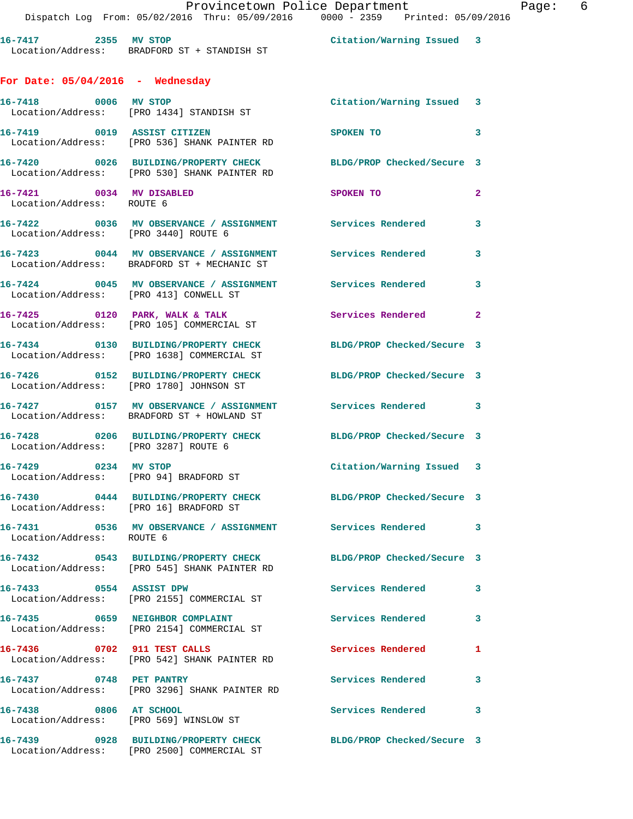|  |  |                                                         | Provincetown Police Department |                                               |  |  |  |
|--|--|---------------------------------------------------------|--------------------------------|-----------------------------------------------|--|--|--|
|  |  | $\sim$ $\sim$ $\sim$ $\sim$ $\sim$ $\sim$ $\sim$ $\sim$ |                                | $\mathbf{a} \mathbf{a} \mathbf{a} \mathbf{a}$ |  |  |  |

Page: 6

|                                                       | Provincetown Police Department<br>Dispatch Log From: 05/02/2016 Thru: 05/09/2016 0000 - 2359 Printed: 05/09/    |                            |                         |
|-------------------------------------------------------|-----------------------------------------------------------------------------------------------------------------|----------------------------|-------------------------|
|                                                       | Example of the Citation/Warning Issued 3<br>Location/Address: BRADFORD ST + STANDISH ST                         |                            |                         |
| For Date: $05/04/2016$ - Wednesday                    |                                                                                                                 |                            |                         |
|                                                       | 16-7418 0006 MV STOP<br>Location/Address: [PRO 1434] STANDISH ST                                                | Citation/Warning Issued 3  |                         |
| 16-7419 0019 ASSIST CITIZEN                           | Location/Address: [PRO 536] SHANK PAINTER RD                                                                    | <b>SPOKEN TO</b>           | $\overline{\mathbf{3}}$ |
|                                                       | 16-7420 0026 BUILDING/PROPERTY CHECK<br>Location/Address: [PRO 530] SHANK PAINTER RD                            | BLDG/PROP Checked/Secure 3 |                         |
| 16-7421 0034 MV DISABLED<br>Location/Address: ROUTE 6 |                                                                                                                 | SPOKEN TO                  | $\mathbf{2}$            |
| Location/Address: [PRO 3440] ROUTE 6                  | 16-7422 0036 MV OBSERVANCE / ASSIGNMENT Services Rendered 3                                                     |                            |                         |
|                                                       | 16-7423 0044 MV OBSERVANCE / ASSIGNMENT Services Rendered<br>Location/Address: BRADFORD ST + MECHANIC ST        |                            | $\overline{\mathbf{3}}$ |
| Location/Address: [PRO 413] CONWELL ST                | 16-7424 0045 MV OBSERVANCE / ASSIGNMENT Services Rendered 3                                                     |                            |                         |
|                                                       | 16-7425 0120 PARK, WALK & TALK<br>Location/Address: [PRO 105] COMMERCIAL ST                                     | Services Rendered          | $\mathbf{2}$            |
|                                                       | 16-7434 0130 BUILDING/PROPERTY CHECK<br>Location/Address: [PRO 1638] COMMERCIAL ST                              | BLDG/PROP Checked/Secure 3 |                         |
|                                                       | 16-7426 0152 BUILDING/PROPERTY CHECK<br>Location/Address: [PRO 1780] JOHNSON ST                                 | BLDG/PROP Checked/Secure 3 |                         |
|                                                       | 16-7427 		 0157 MV OBSERVANCE / ASSIGNMENT Services Rendered 3<br>Location/Address: BRADFORD ST + HOWLAND ST    |                            |                         |
| Location/Address: [PRO 3287] ROUTE 6                  | 16-7428 0206 BUILDING/PROPERTY CHECK BLDG/PROP Checked/Secure 3                                                 |                            |                         |
| 16-7429 0234 MV STOP                                  | Location/Address: [PRO 94] BRADFORD ST                                                                          | Citation/Warning Issued 3  |                         |
| Location/Address: [PRO 16] BRADFORD ST                | 16-7430 0444 BUILDING/PROPERTY CHECK BLDG/PROP Checked/Secure 3                                                 |                            |                         |
| Location/Address: ROUTE 6                             |                                                                                                                 |                            |                         |
|                                                       | 16-7432 0543 BUILDING/PROPERTY CHECK BLDG/PROP Checked/Secure 3<br>Location/Address: [PRO 545] SHANK PAINTER RD |                            |                         |
| 16-7433 0554 ASSIST DPW                               | Location/Address: [PRO 2155] COMMERCIAL ST                                                                      | Services Rendered 3        |                         |
|                                                       | 16-7435 0659 NEIGHBOR COMPLAINT<br>Location/Address: [PRO 2154] COMMERCIAL ST                                   | Services Rendered          | 3                       |
| 16-7436 0702 911 TEST CALLS                           | Location/Address: [PRO 542] SHANK PAINTER RD                                                                    | Services Rendered 1        |                         |
| 16-7437 0748 PET PANTRY                               | Location/Address: [PRO 3296] SHANK PAINTER RD                                                                   | Services Rendered          | 3                       |
| 16-7438 0806 AT SCHOOL                                | Location/Address: [PRO 569] WINSLOW ST                                                                          | Services Rendered 3        |                         |
|                                                       | 16-7439 0928 BUILDING/PROPERTY CHECK<br>Location/Address: [PRO 2500] COMMERCIAL ST                              | BLDG/PROP Checked/Secure 3 |                         |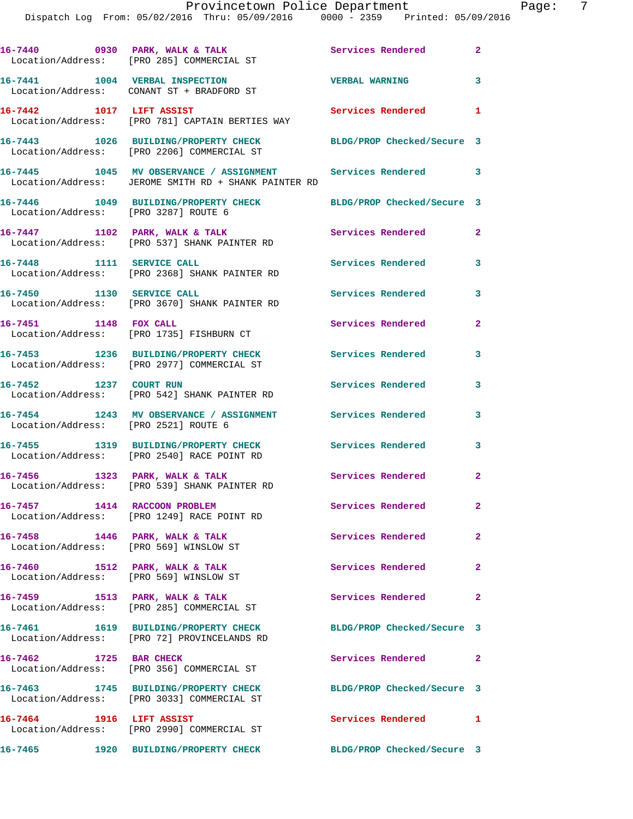|                                                                            | 16-7440 0930 PARK, WALK & TALK<br>Location/Address: [PRO 285] COMMERCIAL ST                                         | <b>Services Rendered</b>   | $\overline{\mathbf{2}}$ |
|----------------------------------------------------------------------------|---------------------------------------------------------------------------------------------------------------------|----------------------------|-------------------------|
|                                                                            | 16-7441 1004 VERBAL INSPECTION<br>Location/Address: CONANT ST + BRADFORD ST                                         | <b>VERBAL WARNING</b>      | $\overline{\mathbf{3}}$ |
| 16-7442 1017 LIFT ASSIST                                                   | Location/Address: [PRO 781] CAPTAIN BERTIES WAY                                                                     | Services Rendered 1        |                         |
|                                                                            | 16-7443 1026 BUILDING/PROPERTY CHECK<br>Location/Address: [PRO 2206] COMMERCIAL ST                                  | BLDG/PROP Checked/Secure 3 |                         |
|                                                                            | 16-7445 1045 MV OBSERVANCE / ASSIGNMENT Services Rendered 3<br>Location/Address: JEROME SMITH RD + SHANK PAINTER RD |                            |                         |
| Location/Address: [PRO 3287] ROUTE 6                                       | 16-7446 1049 BUILDING/PROPERTY CHECK                                                                                | BLDG/PROP Checked/Secure 3 |                         |
|                                                                            | 16-7447 1102 PARK, WALK & TALK<br>Location/Address: [PRO 537] SHANK PAINTER RD                                      | Services Rendered          | $\mathbf{2}$            |
| 16-7448 1111 SERVICE CALL                                                  | Location/Address: [PRO 2368] SHANK PAINTER RD                                                                       | <b>Services Rendered</b>   | 3                       |
| 16-7450 1130 SERVICE CALL                                                  | Location/Address: [PRO 3670] SHANK PAINTER RD                                                                       | Services Rendered          | 3                       |
| 16-7451 1148 FOX CALL                                                      | Location/Address: [PRO 1735] FISHBURN CT                                                                            | Services Rendered          | $\mathbf{2}$            |
|                                                                            | 16-7453 1236 BUILDING/PROPERTY CHECK<br>Location/Address: [PRO 2977] COMMERCIAL ST                                  | Services Rendered          | 3                       |
| 16-7452 1237 COURT RUN                                                     | Location/Address: [PRO 542] SHANK PAINTER RD                                                                        | Services Rendered          | 3                       |
| Location/Address: [PRO 2521] ROUTE 6                                       | 16-7454 1243 MV OBSERVANCE / ASSIGNMENT Services Rendered                                                           |                            | 3                       |
|                                                                            | 16-7455 1319 BUILDING/PROPERTY CHECK<br>Location/Address: [PRO 2540] RACE POINT RD                                  | Services Rendered          | 3                       |
|                                                                            | 16-7456 1323 PARK, WALK & TALK<br>Location/Address: [PRO 539] SHANK PAINTER RD                                      | Services Rendered          | $\mathbf{2}$            |
| 16-7457 1414 RACCOON PROBLEM                                               | Location/Address: [PRO 1249] RACE POINT RD                                                                          | Services Rendered          | $\mathbf{2}^-$          |
| $16-7458$ 1446 PARK, WALK & TALK<br>Location/Address: [PRO 569] WINSLOW ST |                                                                                                                     | <b>Services Rendered</b>   | $\mathbf{2}$            |
| 16-7460 1512 PARK, WALK & TALK<br>Location/Address: [PRO 569] WINSLOW ST   |                                                                                                                     | Services Rendered 2        |                         |
| 16-7459 1513 PARK, WALK & TALK                                             | Location/Address: [PRO 285] COMMERCIAL ST                                                                           | Services Rendered          | $\overline{2}$          |
|                                                                            | 16-7461 1619 BUILDING/PROPERTY CHECK<br>Location/Address: [PRO 72] PROVINCELANDS RD                                 | BLDG/PROP Checked/Secure 3 |                         |
| 16-7462 1725 BAR CHECK                                                     | Location/Address: [PRO 356] COMMERCIAL ST                                                                           | Services Rendered          | $\mathbf{2}$            |
|                                                                            | 16-7463 1745 BUILDING/PROPERTY CHECK<br>Location/Address: [PRO 3033] COMMERCIAL ST                                  | BLDG/PROP Checked/Secure 3 |                         |
| 16-7464 1916 LIFT ASSIST                                                   | Location/Address: [PRO 2990] COMMERCIAL ST                                                                          | Services Rendered 1        |                         |
|                                                                            |                                                                                                                     | BLDG/PROP Checked/Secure 3 |                         |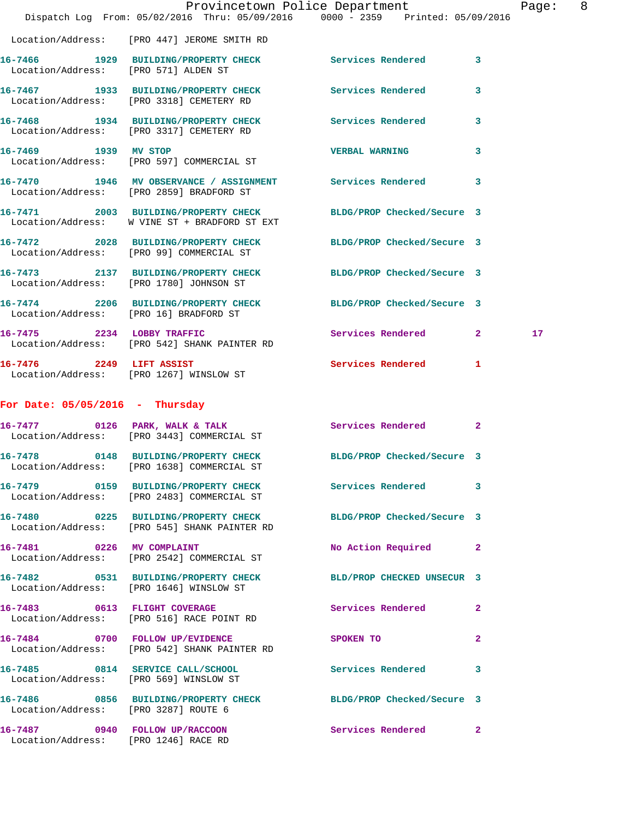|                                        | Dispatch Log From: 05/02/2016 Thru: 05/09/2016 0000 - 2359 Printed: 05/09/2016                                  | Provincetown Police Department | Page: 8      |
|----------------------------------------|-----------------------------------------------------------------------------------------------------------------|--------------------------------|--------------|
|                                        | Location/Address: [PRO 447] JEROME SMITH RD                                                                     |                                |              |
| Location/Address: [PRO 571] ALDEN ST   | 16-7466 1929 BUILDING/PROPERTY CHECK Services Rendered 3                                                        |                                |              |
|                                        | 16-7467 1933 BUILDING/PROPERTY CHECK Services Rendered<br>Location/Address: [PRO 3318] CEMETERY RD              |                                | $\mathbf{3}$ |
|                                        | 16-7468 1934 BUILDING/PROPERTY CHECK Services Rendered 3<br>Location/Address: [PRO 3317] CEMETERY RD            |                                |              |
|                                        | 16-7469 1939 MV STOP<br>Location/Address: [PRO 597] COMMERCIAL ST                                               | <b>VERBAL WARNING</b>          | 3            |
|                                        | 16-7470 1946 MV OBSERVANCE / ASSIGNMENT Services Rendered 3<br>Location/Address: [PRO 2859] BRADFORD ST         |                                |              |
|                                        | 16-7471 2003 BUILDING/PROPERTY CHECK<br>Location/Address: W VINE ST + BRADFORD ST EXT                           | BLDG/PROP Checked/Secure 3     |              |
|                                        | 16-7472 2028 BUILDING/PROPERTY CHECK BLDG/PROP Checked/Secure 3<br>Location/Address: [PRO 99] COMMERCIAL ST     |                                |              |
|                                        | 16-7473 2137 BUILDING/PROPERTY CHECK BLDG/PROP Checked/Secure 3<br>Location/Address: [PRO 1780] JOHNSON ST      |                                |              |
| Location/Address: [PRO 16] BRADFORD ST | 16-7474 2206 BUILDING/PROPERTY CHECK BLDG/PROP Checked/Secure 3                                                 |                                |              |
|                                        | 16-7475 2234 LOBBY TRAFFIC<br>Location/Address: [PRO 542] SHANK PAINTER RD                                      | Services Rendered 2            | 17           |
|                                        | 16-7476 2249 LIFT ASSIST<br>Location/Address: [PRO 1267] WINSLOW ST                                             | Services Rendered 1            |              |
| For Date: $05/05/2016$ - Thursday      |                                                                                                                 |                                |              |
|                                        | 16-7477 0126 PARK, WALK & TALK Services Rendered 2<br>Location/Address: [PRO 3443] COMMERCIAL ST                |                                |              |
|                                        | 16-7478 0148 BUILDING/PROPERTY CHECK BLDG/PROP Checked/Secure 3<br>Location/Address: [PRO 1638] COMMERCIAL ST   |                                |              |
|                                        | 16-7479 0159 BUILDING/PROPERTY CHECK<br>Location/Address: [PRO 2483] COMMERCIAL ST                              | Services Rendered 3            |              |
|                                        | 16-7480 0225 BUILDING/PROPERTY CHECK BLDG/PROP Checked/Secure 3<br>Location/Address: [PRO 545] SHANK PAINTER RD |                                |              |
|                                        | 16-7481 0226 MV COMPLAINT<br>Location/Address: [PRO 2542] COMMERCIAL ST                                         | No Action Required 2           |              |
|                                        | 16-7482 0531 BUILDING/PROPERTY CHECK BLD/PROP CHECKED UNSECUR 3<br>Location/Address: [PRO 1646] WINSLOW ST      |                                |              |
|                                        | 16-7483 0613 FLIGHT COVERAGE<br>Location/Address: [PRO 516] RACE POINT RD                                       | Services Rendered 2            |              |
|                                        | 16-7484 0700 FOLLOW UP/EVIDENCE<br>Location/Address: [PRO 542] SHANK PAINTER RD                                 | <b>SPOKEN TO</b>               | $\mathbf{2}$ |
| Location/Address: [PRO 569] WINSLOW ST | 16-7485 0814 SERVICE CALL/SCHOOL                                                                                | Services Rendered 3            |              |
| Location/Address: [PRO 3287] ROUTE 6   | 16-7486 0856 BUILDING/PROPERTY CHECK BLDG/PROP Checked/Secure 3                                                 |                                |              |
| Location/Address: [PRO 1246] RACE RD   | 16-7487 0940 FOLLOW UP/RACCOON Services Rendered 2                                                              |                                |              |
|                                        |                                                                                                                 |                                |              |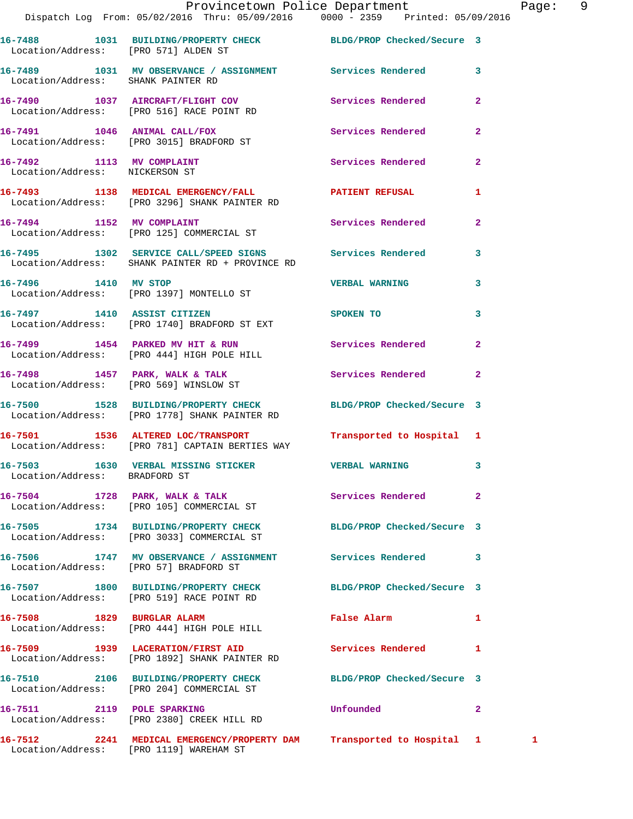|                                                             | Provincetown Police Department<br>Dispatch Log From: 05/02/2016 Thru: 05/09/2016 0000 - 2359 Printed: 05/09/2016  |                            |                | Pag |
|-------------------------------------------------------------|-------------------------------------------------------------------------------------------------------------------|----------------------------|----------------|-----|
|                                                             | 16-7488 1031 BUILDING/PROPERTY CHECK BLDG/PROP Checked/Secure 3<br>Location/Address: [PRO 571] ALDEN ST           |                            |                |     |
| Location/Address: SHANK PAINTER RD                          | 16-7489 1031 MV OBSERVANCE / ASSIGNMENT Services Rendered                                                         |                            | 3              |     |
|                                                             | 16-7490 1037 AIRCRAFT/FLIGHT COV Services Rendered<br>Location/Address: [PRO 516] RACE POINT RD                   |                            | $\overline{2}$ |     |
|                                                             | 16-7491 1046 ANIMAL CALL/FOX<br>Location/Address: [PRO 3015] BRADFORD ST                                          | Services Rendered          | $\overline{a}$ |     |
| 16-7492 1113 MV COMPLAINT<br>Location/Address: NICKERSON ST |                                                                                                                   | Services Rendered          | $\overline{a}$ |     |
|                                                             | 16-7493 1138 MEDICAL EMERGENCY/FALL <b>FRAME PATIENT REFUSAL</b><br>Location/Address: [PRO 3296] SHANK PAINTER RD |                            | 1              |     |
|                                                             | 16-7494 1152 MV COMPLAINT<br>Location/Address: [PRO 125] COMMERCIAL ST                                            | Services Rendered          | $\mathbf{2}$   |     |
|                                                             | 16-7495 1302 SERVICE CALL/SPEED SIGNS Services Rendered<br>Location/Address: SHANK PAINTER RD + PROVINCE RD       |                            | 3              |     |
|                                                             | 16-7496 1410 MV STOP<br>Location/Address: [PRO 1397] MONTELLO ST                                                  | <b>VERBAL WARNING</b>      | 3              |     |
|                                                             | 16-7497 1410 ASSIST CITIZEN<br>Location/Address: [PRO 1740] BRADFORD ST EXT                                       | SPOKEN TO                  | 3              |     |
|                                                             | 16-7499 1454 PARKED MV HIT & RUN Services Rendered<br>Location/Address: [PRO 444] HIGH POLE HILL                  |                            | $\overline{a}$ |     |
|                                                             | 16-7498 1457 PARK, WALK & TALK 1998 Services Rendered<br>Location/Address: [PRO 569] WINSLOW ST                   |                            | $\mathbf{2}$   |     |
|                                                             | 16-7500 1528 BUILDING/PROPERTY CHECK BLDG/PROP Checked/Secure 3<br>Location/Address: [PRO 1778] SHANK PAINTER RD  |                            |                |     |
|                                                             | 16-7501 1536 ALTERED LOC/TRANSPORT Transported to Hospital 1<br>Location/Address: [PRO 781] CAPTAIN BERTIES WAY   |                            |                |     |
| Location/Address: BRADFORD ST                               | 16-7503 1630 VERBAL MISSING STICKER                                                                               | <b>VERBAL WARNING</b>      | 3              |     |
|                                                             | 16-7504 1728 PARK, WALK & TALK 1988 Services Rendered<br>Location/Address: [PRO 105] COMMERCIAL ST                |                            | $\overline{a}$ |     |
|                                                             | 16-7505 1734 BUILDING/PROPERTY CHECK<br>Location/Address: [PRO 3033] COMMERCIAL ST                                | BLDG/PROP Checked/Secure 3 |                |     |
|                                                             | 16-7506 1747 MV OBSERVANCE / ASSIGNMENT Services Rendered<br>Location/Address: [PRO 57] BRADFORD ST               |                            | 3              |     |
|                                                             | 16-7507 1800 BUILDING/PROPERTY CHECK<br>Location/Address: [PRO 519] RACE POINT RD                                 | BLDG/PROP Checked/Secure 3 |                |     |
| 16-7508 1829 BURGLAR ALARM                                  | Location/Address: [PRO 444] HIGH POLE HILL                                                                        | False Alarm                | 1              |     |
|                                                             | 16-7509 1939 LACERATION/FIRST AID<br>Location/Address: [PRO 1892] SHANK PAINTER RD                                | Services Rendered          | 1              |     |
|                                                             | 16-7510 2106 BUILDING/PROPERTY CHECK<br>Location/Address: [PRO 204] COMMERCIAL ST                                 | BLDG/PROP Checked/Secure 3 |                |     |
|                                                             | 16-7511 2119 POLE SPARKING<br>Location/Address: [PRO 2380] CREEK HILL RD                                          | Unfounded                  | $\overline{a}$ |     |
|                                                             | 16-7512 2241 MEDICAL EMERGENCY/PROPERTY DAM Transported to Hospital 1 1                                           |                            |                |     |

Location/Address: [PRO 1119] WAREHAM ST

Page: 9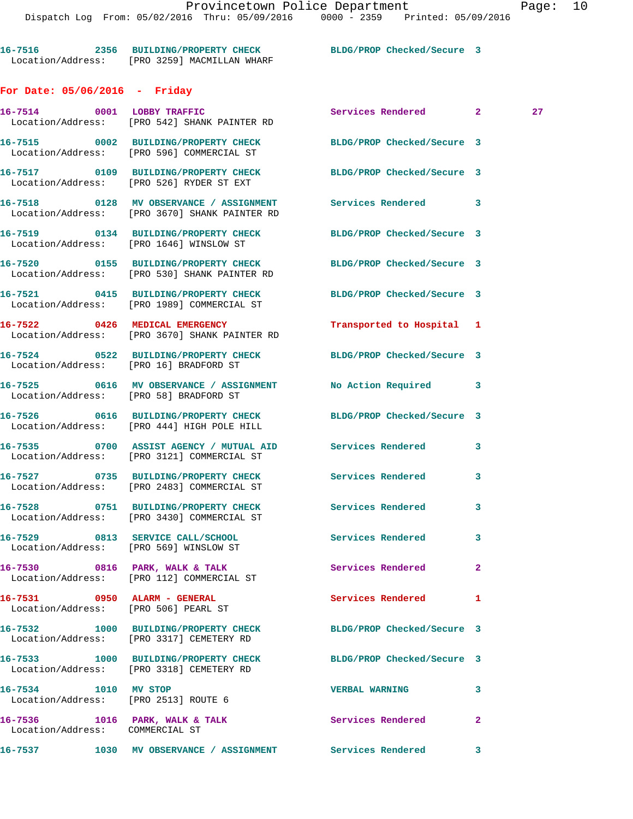**16-7516 2356 BUILDING/PROPERTY CHECK BLDG/PROP Checked/Secure 3**  Location/Address: [PRO 3259] MACMILLAN WHARF

## **For Date: 05/06/2016 - Friday**

|                                                                      | 16-7514 0001 LOBBY TRAFFIC<br>Location/Address: [PRO 542] SHANK PAINTER RD                                      | Services Rendered 2        |              | 27 |
|----------------------------------------------------------------------|-----------------------------------------------------------------------------------------------------------------|----------------------------|--------------|----|
|                                                                      | 16-7515 0002 BUILDING/PROPERTY CHECK BLDG/PROP Checked/Secure 3<br>Location/Address: [PRO 596] COMMERCIAL ST    |                            |              |    |
|                                                                      | 16-7517 0109 BUILDING/PROPERTY CHECK<br>Location/Address: [PRO 526] RYDER ST EXT                                | BLDG/PROP Checked/Secure 3 |              |    |
|                                                                      | 16-7518 		 0128 MV OBSERVANCE / ASSIGNMENT Services Rendered 3<br>Location/Address: [PRO 3670] SHANK PAINTER RD |                            |              |    |
|                                                                      | 16-7519 0134 BUILDING/PROPERTY CHECK BLDG/PROP Checked/Secure 3<br>Location/Address: [PRO 1646] WINSLOW ST      |                            |              |    |
|                                                                      | 16-7520 0155 BUILDING/PROPERTY CHECK<br>Location/Address: [PRO 530] SHANK PAINTER RD                            | BLDG/PROP Checked/Secure 3 |              |    |
|                                                                      | 16-7521 0415 BUILDING/PROPERTY CHECK<br>Location/Address: [PRO 1989] COMMERCIAL ST                              | BLDG/PROP Checked/Secure 3 |              |    |
|                                                                      | 16-7522 0426 MEDICAL EMERGENCY<br>Location/Address: [PRO 3670] SHANK PAINTER RD                                 | Transported to Hospital 1  |              |    |
|                                                                      | 16-7524 0522 BUILDING/PROPERTY CHECK BLDG/PROP Checked/Secure 3<br>Location/Address: [PRO 16] BRADFORD ST       |                            |              |    |
|                                                                      | 16-7525 0616 MV OBSERVANCE / ASSIGNMENT No Action Required 3<br>Location/Address: [PRO 58] BRADFORD ST          |                            |              |    |
|                                                                      | 16-7526 0616 BUILDING/PROPERTY CHECK BLDG/PROP Checked/Secure 3<br>Location/Address: [PRO 444] HIGH POLE HILL   |                            |              |    |
|                                                                      | 16-7535 0700 ASSIST AGENCY / MUTUAL AID Services Rendered<br>Location/Address: [PRO 3121] COMMERCIAL ST         |                            | 3            |    |
|                                                                      | 16-7527 0735 BUILDING/PROPERTY CHECK Services Rendered<br>Location/Address: [PRO 2483] COMMERCIAL ST            |                            | 3            |    |
|                                                                      | 16-7528 0751 BUILDING/PROPERTY CHECK<br>Location/Address: [PRO 3430] COMMERCIAL ST                              | Services Rendered          | 3            |    |
|                                                                      | 16-7529 0813 SERVICE CALL/SCHOOL<br>Location/Address: [PRO 569] WINSLOW ST                                      | Services Rendered          | 3            |    |
|                                                                      | 16-7530 0816 PARK, WALK & TALK<br>Location/Address: [PRO 112] COMMERCIAL ST                                     | <b>Services Rendered</b>   | $\mathbf{2}$ |    |
| 16-7531 0950 ALARM - GENERAL<br>Location/Address: [PRO 506] PEARL ST |                                                                                                                 | Services Rendered          | $\mathbf{1}$ |    |
|                                                                      | 16-7532 1000 BUILDING/PROPERTY CHECK<br>Location/Address: [PRO 3317] CEMETERY RD                                | BLDG/PROP Checked/Secure 3 |              |    |
|                                                                      | 16-7533 1000 BUILDING/PROPERTY CHECK<br>Location/Address: [PRO 3318] CEMETERY RD                                | BLDG/PROP Checked/Secure 3 |              |    |
| 16-7534 1010 MV STOP<br>Location/Address: [PRO 2513] ROUTE 6         |                                                                                                                 | <b>VERBAL WARNING</b>      | 3            |    |
| Location/Address: COMMERCIAL ST                                      | 16-7536 1016 PARK, WALK & TALK                                                                                  | Services Rendered          | $\mathbf{2}$ |    |
|                                                                      |                                                                                                                 |                            | 3            |    |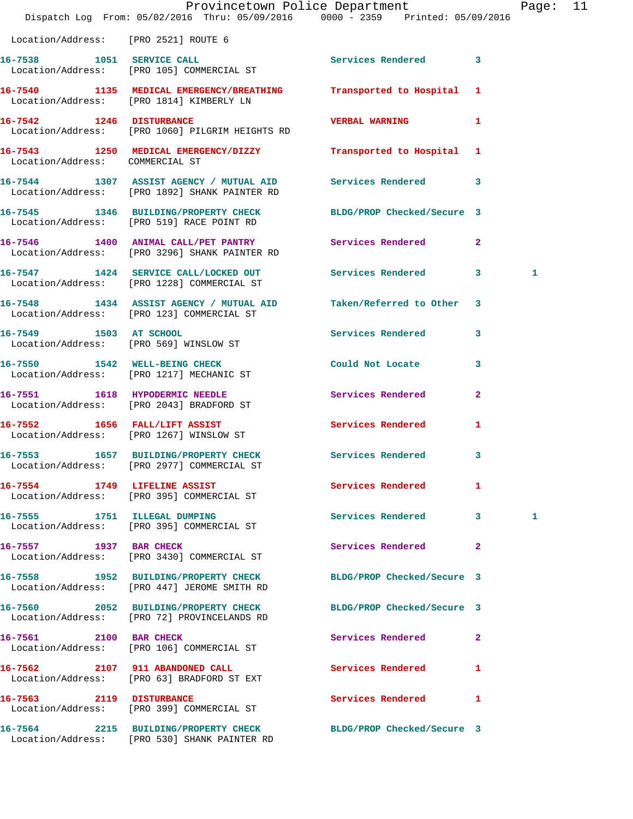|                                      | Dispatch Log From: 05/02/2016 Thru: 05/09/2016 0000 - 2359 Printed: 05/09/2016                                  | Provincetown Police Department |              | Page: 11 |  |
|--------------------------------------|-----------------------------------------------------------------------------------------------------------------|--------------------------------|--------------|----------|--|
| Location/Address: [PRO 2521] ROUTE 6 |                                                                                                                 |                                |              |          |  |
|                                      | 16-7538 1051 SERVICE CALL<br>Location/Address: [PRO 105] COMMERCIAL ST                                          | Services Rendered 3            |              |          |  |
|                                      | 16-7540 1135 MEDICAL EMERGENCY/BREATHING Transported to Hospital 1<br>Location/Address: [PRO 1814] KIMBERLY LN  |                                |              |          |  |
|                                      | 16-7542 1246 DISTURBANCE<br>Location/Address: [PRO 1060] PILGRIM HEIGHTS RD                                     | <b>VERBAL WARNING</b>          | 1            |          |  |
| Location/Address: COMMERCIAL ST      | 16-7543 1250 MEDICAL EMERGENCY/DIZZY Transported to Hospital 1                                                  |                                |              |          |  |
|                                      | 16-7544 1307 ASSIST AGENCY / MUTUAL AID Services Rendered 3<br>Location/Address: [PRO 1892] SHANK PAINTER RD    |                                |              |          |  |
|                                      | 16-7545 1346 BUILDING/PROPERTY CHECK BLDG/PROP Checked/Secure 3<br>Location/Address: [PRO 519] RACE POINT RD    |                                |              |          |  |
|                                      | 16-7546 1400 ANIMAL CALL/PET PANTRY Services Rendered 2<br>Location/Address: [PRO 3296] SHANK PAINTER RD        |                                |              |          |  |
|                                      | 16-7547 1424 SERVICE CALL/LOCKED OUT Services Rendered 3<br>Location/Address: [PRO 1228] COMMERCIAL ST          |                                |              | 1        |  |
|                                      | 16-7548 1434 ASSIST AGENCY / MUTUAL AID Taken/Referred to Other 3<br>Location/Address: [PRO 123] COMMERCIAL ST  |                                |              |          |  |
|                                      | 16-7549 1503 AT SCHOOL<br>Location/Address: [PRO 569] WINSLOW ST                                                | Services Rendered 3            |              |          |  |
|                                      | 16-7550 1542 WELL-BEING CHECK<br>Location/Address: [PRO 1217] MECHANIC ST                                       | Could Not Locate               | $\mathbf{3}$ |          |  |
|                                      | 16-7551 1618 HYPODERMIC NEEDLE<br>Location/Address: [PRO 2043] BRADFORD ST                                      | Services Rendered              | $\mathbf{2}$ |          |  |
|                                      | 16-7552 1656 FALL/LIFT ASSIST<br>Location/Address: [PRO 1267] WINSLOW ST                                        | <b>Services Rendered</b>       | $\mathbf{1}$ |          |  |
|                                      | 16-7553 1657 BUILDING/PROPERTY CHECK Services Rendered 3<br>Location/Address: [PRO 2977] COMMERCIAL ST          |                                |              |          |  |
|                                      | 16-7554 1749 LIFELINE ASSIST<br>Location/Address: [PRO 395] COMMERCIAL ST                                       | <b>Services Rendered</b>       | $\mathbf{1}$ |          |  |
|                                      | 16-7555 1751 ILLEGAL DUMPING<br>Location/Address: [PRO 395] COMMERCIAL ST                                       | Services Rendered 3            |              | 1        |  |
| 16-7557 1937 BAR CHECK               | Location/Address: [PRO 3430] COMMERCIAL ST                                                                      | Services Rendered 2            |              |          |  |
|                                      | 16-7558 1952 BUILDING/PROPERTY CHECK<br>Location/Address: [PRO 447] JEROME SMITH RD                             | BLDG/PROP Checked/Secure 3     |              |          |  |
|                                      | 16-7560 2052 BUILDING/PROPERTY CHECK<br>Location/Address: [PRO 72] PROVINCELANDS RD                             | BLDG/PROP Checked/Secure 3     |              |          |  |
|                                      | 16-7561 2100 BAR CHECK<br>Location/Address: [PRO 106] COMMERCIAL ST                                             | Services Rendered              | $\mathbf{2}$ |          |  |
|                                      | 16-7562 2107 911 ABANDONED CALL<br>Location/Address: [PRO 63] BRADFORD ST EXT                                   | Services Rendered 1            |              |          |  |
|                                      | 16-7563 2119 DISTURBANCE<br>Location/Address: [PRO 399] COMMERCIAL ST                                           | Services Rendered 1            |              |          |  |
|                                      | 16-7564 2215 BUILDING/PROPERTY CHECK BLDG/PROP Checked/Secure 3<br>Location/Address: [PRO 530] SHANK PAINTER RD |                                |              |          |  |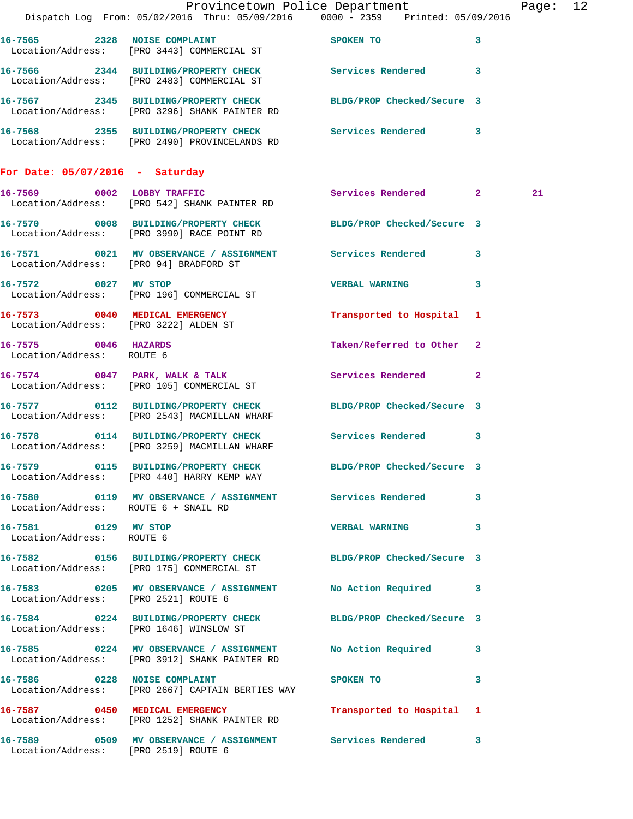|                                                   |                                                                                                                  | Provincetown Police Department                                                 | Page: 12 |
|---------------------------------------------------|------------------------------------------------------------------------------------------------------------------|--------------------------------------------------------------------------------|----------|
|                                                   |                                                                                                                  | Dispatch Log From: 05/02/2016 Thru: 05/09/2016 0000 - 2359 Printed: 05/09/2016 |          |
|                                                   | 16-7565 2328 NOISE COMPLAINT SPOKEN TO<br>Location/Address: [PRO 3443] COMMERCIAL ST                             | $\mathbf{3}$                                                                   |          |
|                                                   | 16-7566 2344 BUILDING/PROPERTY CHECK Services Rendered 3<br>Location/Address: [PRO 2483] COMMERCIAL ST           |                                                                                |          |
|                                                   | 16-7567 2345 BUILDING/PROPERTY CHECK BLDG/PROP Checked/Secure 3<br>Location/Address: [PRO 3296] SHANK PAINTER RD |                                                                                |          |
|                                                   | 16-7568 2355 BUILDING/PROPERTY CHECK Services Rendered 3<br>Location/Address: [PRO 2490] PROVINCELANDS RD        |                                                                                |          |
| For Date: $05/07/2016$ - Saturday                 |                                                                                                                  |                                                                                |          |
|                                                   | 16-7569 0002 LOBBY TRAFFIC<br>Location/Address: [PRO 542] SHANK PAINTER RD                                       | Services Rendered 2                                                            | 21       |
|                                                   | 16-7570 0008 BUILDING/PROPERTY CHECK BLDG/PROP Checked/Secure 3<br>Location/Address: [PRO 3990] RACE POINT RD    |                                                                                |          |
|                                                   | 16-7571 0021 MV OBSERVANCE / ASSIGNMENT Services Rendered 3<br>Location/Address: [PRO 94] BRADFORD ST            |                                                                                |          |
| 16-7572 0027 MV STOP                              | Location/Address: [PRO 196] COMMERCIAL ST                                                                        | VERBAL WARNING 3                                                               |          |
| Location/Address: [PRO 3222] ALDEN ST             | 16-7573 0040 MEDICAL EMERGENCY                                                                                   | Transported to Hospital 1                                                      |          |
| 16-7575 0046 HAZARDS<br>Location/Address: ROUTE 6 |                                                                                                                  | Taken/Referred to Other 2                                                      |          |
|                                                   | 16-7574 0047 PARK, WALK & TALK<br>Location/Address: [PRO 105] COMMERCIAL ST                                      | Services Rendered 2                                                            |          |
|                                                   | 16-7577 0112 BUILDING/PROPERTY CHECK BLDG/PROP Checked/Secure 3<br>Location/Address: [PRO 2543] MACMILLAN WHARF  |                                                                                |          |
|                                                   | 16-7578 0114 BUILDING/PROPERTY CHECK Services Rendered 3<br>Location/Address: [PRO 3259] MACMILLAN WHARF         |                                                                                |          |
|                                                   | 16-7579 0115 BUILDING/PROPERTY CHECK<br>Location/Address: [PRO 440] HARRY KEMP WAY                               | BLDG/PROP Checked/Secure 3                                                     |          |
| Location/Address: ROUTE 6 + SNAIL RD              | 16-7580 0119 MV OBSERVANCE / ASSIGNMENT Services Rendered 3                                                      |                                                                                |          |
| 16-7581 0129 MV STOP<br>Location/Address: ROUTE 6 |                                                                                                                  | VERBAL WARNING 3                                                               |          |
|                                                   | 16-7582 0156 BUILDING/PROPERTY CHECK BLDG/PROP Checked/Secure 3<br>Location/Address: [PRO 175] COMMERCIAL ST     |                                                                                |          |
| Location/Address: [PRO 2521] ROUTE 6              | 16-7583 0205 MV OBSERVANCE / ASSIGNMENT No Action Required 3                                                     |                                                                                |          |
|                                                   | 16-7584 0224 BUILDING/PROPERTY CHECK BLDG/PROP Checked/Secure 3<br>Location/Address: [PRO 1646] WINSLOW ST       |                                                                                |          |
|                                                   | 16-7585 0224 MV OBSERVANCE / ASSIGNMENT<br>Location/Address: [PRO 3912] SHANK PAINTER RD                         | No Action Required 3                                                           |          |
|                                                   | 16-7586 0228 NOISE COMPLAINT<br>Location/Address: [PRO 2667] CAPTAIN BERTIES WAY                                 | SPOKEN TO DESCRIPTION OF REAL PROPERTY.<br>3                                   |          |
|                                                   | 16-7587 0450 MEDICAL EMERGENCY<br>Location/Address: [PRO 1252] SHANK PAINTER RD                                  | Transported to Hospital 1                                                      |          |
|                                                   | 16-7589 0509 MV OBSERVANCE / ASSIGNMENT Services Rendered 3<br>  Location/Address: [PRO 2519] ROUTE 6            |                                                                                |          |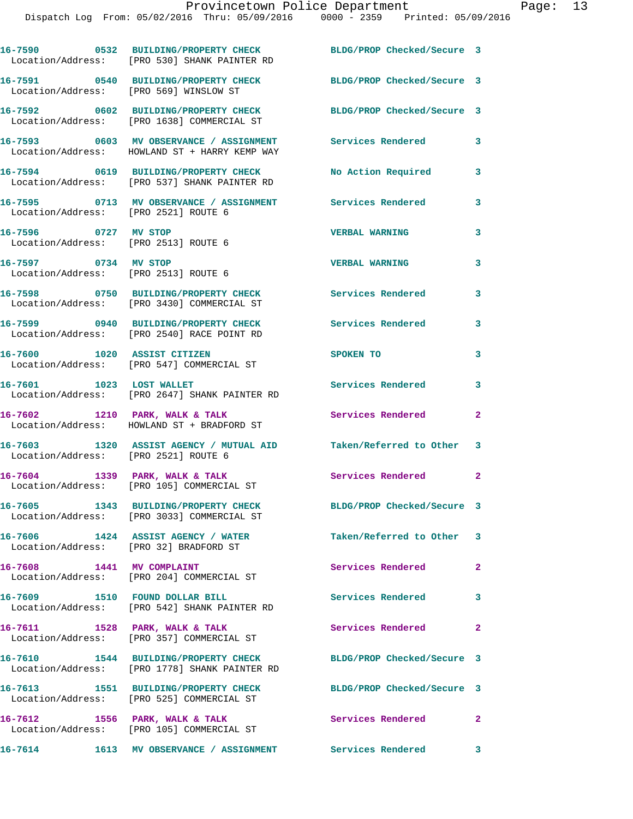|                                                              | 16-7590 0532 BUILDING/PROPERTY CHECK<br>Location/Address: [PRO 530] SHANK PAINTER RD     | BLDG/PROP Checked/Secure 3 |                |
|--------------------------------------------------------------|------------------------------------------------------------------------------------------|----------------------------|----------------|
| Location/Address: [PRO 569] WINSLOW ST                       | 16-7591 0540 BUILDING/PROPERTY CHECK                                                     | BLDG/PROP Checked/Secure 3 |                |
|                                                              | 16-7592 0602 BUILDING/PROPERTY CHECK<br>Location/Address: [PRO 1638] COMMERCIAL ST       | BLDG/PROP Checked/Secure 3 |                |
|                                                              | 16-7593 0603 MV OBSERVANCE / ASSIGNMENT<br>Location/Address: HOWLAND ST + HARRY KEMP WAY | <b>Services Rendered</b>   | 3              |
|                                                              | 16-7594 0619 BUILDING/PROPERTY CHECK<br>Location/Address: [PRO 537] SHANK PAINTER RD     | No Action Required         | 3              |
| Location/Address: [PRO 2521] ROUTE 6                         | 16-7595 0713 MV OBSERVANCE / ASSIGNMENT Services Rendered                                |                            | 3              |
| 16-7596 0727 MV STOP<br>Location/Address: [PRO 2513] ROUTE 6 |                                                                                          | <b>VERBAL WARNING</b>      | 3              |
| 16-7597 0734 MV STOP<br>Location/Address: [PRO 2513] ROUTE 6 |                                                                                          | <b>VERBAL WARNING</b>      | 3              |
|                                                              | 16-7598 0750 BUILDING/PROPERTY CHECK<br>Location/Address: [PRO 3430] COMMERCIAL ST       | <b>Services Rendered</b>   | 3              |
|                                                              | 16-7599 0940 BUILDING/PROPERTY CHECK<br>Location/Address: [PRO 2540] RACE POINT RD       | <b>Services Rendered</b>   | 3              |
|                                                              | 16-7600 1020 ASSIST CITIZEN<br>Location/Address: [PRO 547] COMMERCIAL ST                 | SPOKEN TO                  | 3              |
| 16-7601 1023 LOST WALLET                                     | Location/Address: [PRO 2647] SHANK PAINTER RD                                            | Services Rendered          | 3              |
|                                                              | 16-7602 1210 PARK, WALK & TALK<br>Location/Address: HOWLAND ST + BRADFORD ST             | Services Rendered          | $\overline{a}$ |
| Location/Address: [PRO 2521] ROUTE 6                         | 16-7603 1320 ASSIST AGENCY / MUTUAL AID Taken/Referred to Other 3                        |                            |                |
|                                                              | 16-7604 1339 PARK, WALK & TALK<br>Location/Address: [PRO 105] COMMERCIAL ST              | Services Rendered 2        |                |
|                                                              | 16-7605 1343 BUILDING/PROPERTY CHECK<br>Location/Address: [PRO 3033] COMMERCIAL ST       | BLDG/PROP Checked/Secure 3 |                |
| Location/Address: [PRO 32] BRADFORD ST                       | 16-7606 1424 ASSIST AGENCY / WATER                                                       | Taken/Referred to Other 3  |                |
| 16-7608 1441 MV COMPLAINT                                    | Location/Address: [PRO 204] COMMERCIAL ST                                                | Services Rendered          | $\overline{2}$ |
|                                                              | 16-7609 1510 FOUND DOLLAR BILL<br>Location/Address: [PRO 542] SHANK PAINTER RD           | <b>Services Rendered</b>   | 3              |
| 16-7611 1528 PARK, WALK & TALK                               | Location/Address: [PRO 357] COMMERCIAL ST                                                | Services Rendered 2        |                |
|                                                              | 16-7610 1544 BUILDING/PROPERTY CHECK<br>Location/Address: [PRO 1778] SHANK PAINTER RD    | BLDG/PROP Checked/Secure 3 |                |
|                                                              | 16-7613 1551 BUILDING/PROPERTY CHECK<br>Location/Address: [PRO 525] COMMERCIAL ST        | BLDG/PROP Checked/Secure 3 |                |
|                                                              | 16-7612 1556 PARK, WALK & TALK<br>Location/Address: [PRO 105] COMMERCIAL ST              | Services Rendered 2        |                |
|                                                              | 16-7614 1613 MV OBSERVANCE / ASSIGNMENT Services Rendered 3                              |                            |                |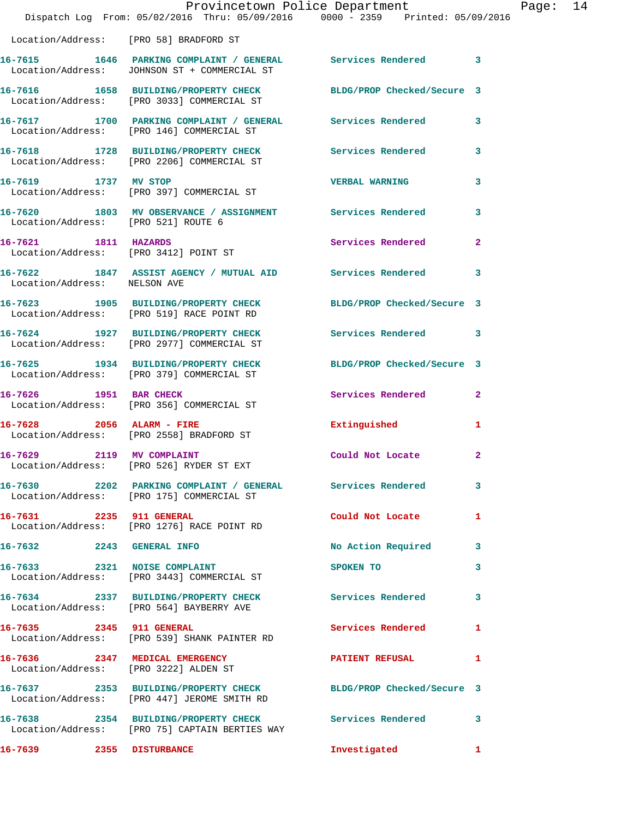|                                                               | Provincetown Police Department<br>Dispatch Log From: 05/02/2016 Thru: 05/09/2016 0000 - 2359 Printed: 05/09/2016 |                            |              |
|---------------------------------------------------------------|------------------------------------------------------------------------------------------------------------------|----------------------------|--------------|
| Location/Address: [PRO 58] BRADFORD ST                        |                                                                                                                  |                            |              |
|                                                               | 16-7615 1646 PARKING COMPLAINT / GENERAL Services Rendered<br>Location/Address: JOHNSON ST + COMMERCIAL ST       |                            | 3            |
|                                                               | 16-7616 1658 BUILDING/PROPERTY CHECK<br>Location/Address: [PRO 3033] COMMERCIAL ST                               | BLDG/PROP Checked/Secure 3 |              |
|                                                               | 16-7617 1700 PARKING COMPLAINT / GENERAL Services Rendered<br>Location/Address: [PRO 146] COMMERCIAL ST          |                            | 3            |
|                                                               | 16-7618 1728 BUILDING/PROPERTY CHECK<br>Location/Address: [PRO 2206] COMMERCIAL ST                               | <b>Services Rendered</b>   | 3            |
| 16-7619 1737 MV STOP                                          | Location/Address: [PRO 397] COMMERCIAL ST                                                                        | <b>VERBAL WARNING</b>      | 3            |
| Location/Address: [PRO 521] ROUTE 6                           | 16-7620 1803 MV OBSERVANCE / ASSIGNMENT Services Rendered                                                        |                            | 3            |
| 16-7621 1811 HAZARDS<br>Location/Address: [PRO 3412] POINT ST |                                                                                                                  | Services Rendered          | $\mathbf{2}$ |
| Location/Address: NELSON AVE                                  | 16-7622 1847 ASSIST AGENCY / MUTUAL AID Services Rendered                                                        |                            | 3            |
|                                                               | 16-7623 1905 BUILDING/PROPERTY CHECK<br>Location/Address: [PRO 519] RACE POINT RD                                | BLDG/PROP Checked/Secure 3 |              |
|                                                               | 16-7624 1927 BUILDING/PROPERTY CHECK<br>Location/Address: [PRO 2977] COMMERCIAL ST                               | <b>Services Rendered</b>   | 3            |
|                                                               | 16-7625 1934 BUILDING/PROPERTY CHECK<br>Location/Address: [PRO 379] COMMERCIAL ST                                | BLDG/PROP Checked/Secure 3 |              |
| 16-7626 1951 BAR CHECK                                        | Location/Address: [PRO 356] COMMERCIAL ST                                                                        | Services Rendered          | $\mathbf{2}$ |
| 16-7628 2056 ALARM - FIRE                                     | Location/Address: [PRO 2558] BRADFORD ST                                                                         | Extinguished               | 1            |
| 2119 MV COMPLAINT<br>16-7629                                  | Location/Address: [PRO 526] RYDER ST EXT                                                                         | Could Not Locate           | $\mathbf{2}$ |
|                                                               | 16-7630 2202 PARKING COMPLAINT / GENERAL Services Rendered<br>Location/Address: [PRO 175] COMMERCIAL ST          |                            | 3            |
| 16-7631 2235 911 GENERAL                                      | Location/Address: [PRO 1276] RACE POINT RD                                                                       | Could Not Locate           | 1            |
| 16-7632 2243 GENERAL INFO                                     |                                                                                                                  | No Action Required         | 3            |
|                                                               | 16-7633 2321 NOISE COMPLAINT<br>Location/Address: [PRO 3443] COMMERCIAL ST                                       | SPOKEN TO                  | 3            |
|                                                               | 16-7634 2337 BUILDING/PROPERTY CHECK Services Rendered<br>Location/Address: [PRO 564] BAYBERRY AVE               |                            | 3            |
| 16-7635 2345 911 GENERAL                                      | Location/Address: [PRO 539] SHANK PAINTER RD                                                                     | <b>Services Rendered</b>   | 1            |
| Location/Address: [PRO 3222] ALDEN ST                         | 16-7636 2347 MEDICAL EMERGENCY                                                                                   | <b>PATIENT REFUSAL</b>     | 1            |
|                                                               | 16-7637 2353 BUILDING/PROPERTY CHECK BLDG/PROP Checked/Secure 3<br>Location/Address: [PRO 447] JEROME SMITH RD   |                            |              |
|                                                               | 16-7638 2354 BUILDING/PROPERTY CHECK<br>Location/Address: [PRO 75] CAPTAIN BERTIES WAY                           | <b>Services Rendered</b>   | 3            |
| 16-7639 2355 DISTURBANCE                                      |                                                                                                                  | Investigated               | $\mathbf{1}$ |

Page: 14<br>16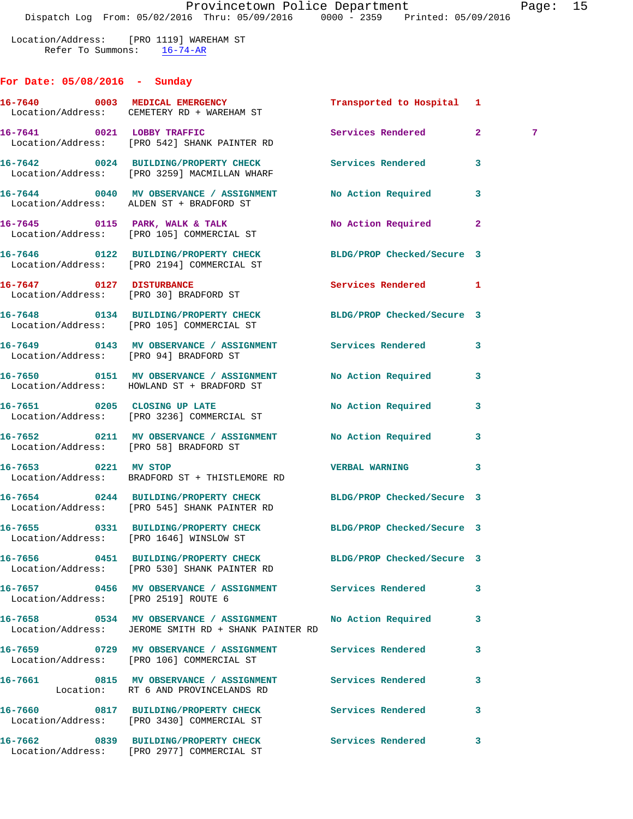Location/Address: [PRO 1119] WAREHAM ST Refer To Summons: 16-74-AR

## **For Date: 05/08/2016 - Sunday**

|                                      | 16-7640 0003 MEDICAL EMERGENCY<br>Location/Address: CEMETERY RD + WAREHAM ST                                       | Transported to Hospital 1 |              |                |
|--------------------------------------|--------------------------------------------------------------------------------------------------------------------|---------------------------|--------------|----------------|
|                                      | 16-7641 0021 LOBBY TRAFFIC<br>Location/Address: [PRO 542] SHANK PAINTER RD                                         | Services Rendered         | $\mathbf{2}$ | $\overline{7}$ |
|                                      | 16-7642 0024 BUILDING/PROPERTY CHECK Services Rendered<br>Location/Address: [PRO 3259] MACMILLAN WHARF             |                           | 3            |                |
|                                      | 16-7644 0040 MV OBSERVANCE / ASSIGNMENT No Action Required<br>Location/Address: ALDEN ST + BRADFORD ST             |                           | 3            |                |
|                                      | 16-7645 0115 PARK, WALK & TALK<br>Location/Address: [PRO 105] COMMERCIAL ST                                        | No Action Required        | $\mathbf{2}$ |                |
|                                      | 16-7646 0122 BUILDING/PROPERTY CHECK BLDG/PROP Checked/Secure 3<br>Location/Address: [PRO 2194] COMMERCIAL ST      |                           |              |                |
|                                      | 16-7647 0127 DISTURBANCE<br>Location/Address: [PRO 30] BRADFORD ST                                                 | <b>Services Rendered</b>  | 1            |                |
|                                      | 16-7648 0134 BUILDING/PROPERTY CHECK BLDG/PROP Checked/Secure 3<br>Location/Address: [PRO 105] COMMERCIAL ST       |                           |              |                |
|                                      | 16-7649 0143 MV OBSERVANCE / ASSIGNMENT Services Rendered<br>Location/Address: [PRO 94] BRADFORD ST                |                           | 3            |                |
|                                      | 16-7650 0151 MV OBSERVANCE / ASSIGNMENT No Action Required<br>Location/Address: HOWLAND ST + BRADFORD ST           |                           | 3            |                |
|                                      | 16-7651 0205 CLOSING UP LATE<br>Location/Address: [PRO 3236] COMMERCIAL ST                                         | No Action Required        | 3            |                |
|                                      | 16-7652 0211 MV OBSERVANCE / ASSIGNMENT No Action Required<br>Location/Address: [PRO 58] BRADFORD ST               |                           | 3            |                |
| 16-7653 0221 MV STOP                 | Location/Address: BRADFORD ST + THISTLEMORE RD                                                                     | <b>VERBAL WARNING</b>     | 3            |                |
|                                      | 16-7654 0244 BUILDING/PROPERTY CHECK BLDG/PROP Checked/Secure 3<br>Location/Address: [PRO 545] SHANK PAINTER RD    |                           |              |                |
|                                      | 16-7655 0331 BUILDING/PROPERTY CHECK BLDG/PROP Checked/Secure 3<br>Location/Address: [PRO 1646] WINSLOW ST         |                           |              |                |
|                                      | 16-7656 0451 BUILDING/PROPERTY CHECK BLDG/PROP Checked/Secure 3<br>Location/Address: [PRO 530] SHANK PAINTER RD    |                           |              |                |
| Location/Address: [PRO 2519] ROUTE 6 | 16-7657 0456 MV OBSERVANCE / ASSIGNMENT Services Rendered                                                          |                           | 3            |                |
|                                      | 16-7658 0534 MV OBSERVANCE / ASSIGNMENT No Action Required<br>Location/Address: JEROME SMITH RD + SHANK PAINTER RD |                           | 3            |                |
|                                      | 16-7659 0729 MV OBSERVANCE / ASSIGNMENT Services Rendered<br>Location/Address: [PRO 106] COMMERCIAL ST             |                           | 3            |                |
|                                      | 16-7661 0815 MV OBSERVANCE / ASSIGNMENT Services Rendered<br>Location: RT 6 AND PROVINCELANDS RD                   |                           | 3            |                |
|                                      | 16-7660 0817 BUILDING/PROPERTY CHECK Services Rendered<br>Location/Address: [PRO 3430] COMMERCIAL ST               |                           | 3            |                |
|                                      | 16-7662 0839 BUILDING/PROPERTY CHECK<br>Location/Address: [PRO 2977] COMMERCIAL ST                                 | Services Rendered         | 3            |                |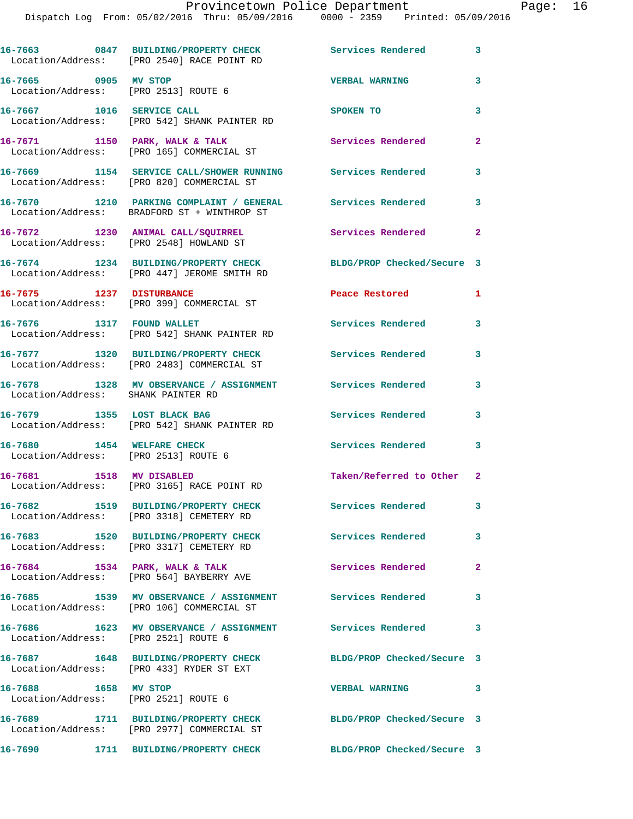|                                                                    | 16-7663 0847 BUILDING/PROPERTY CHECK<br>Location/Address: [PRO 2540] RACE POINT RD                        | Services Rendered 3         |                |
|--------------------------------------------------------------------|-----------------------------------------------------------------------------------------------------------|-----------------------------|----------------|
| 16-7665 0905 MV STOP<br>Location/Address: [PRO 2513] ROUTE 6       |                                                                                                           | <b>VERBAL WARNING</b>       | 3              |
|                                                                    | 16-7667 1016 SERVICE CALL<br>Location/Address: [PRO 542] SHANK PAINTER RD                                 | SPOKEN TO                   | 3              |
|                                                                    | 16-7671 1150 PARK, WALK & TALK<br>Location/Address: [PRO 165] COMMERCIAL ST                               | Services Rendered           | $\overline{a}$ |
|                                                                    | 16-7669 1154 SERVICE CALL/SHOWER RUNNING Services Rendered<br>Location/Address: [PRO 820] COMMERCIAL ST   |                             | 3              |
|                                                                    | 16-7670 1210 PARKING COMPLAINT / GENERAL Services Rendered<br>Location/Address: BRADFORD ST + WINTHROP ST |                             | 3              |
|                                                                    | 16-7672 1230 ANIMAL CALL/SQUIRREL<br>Location/Address: [PRO 2548] HOWLAND ST                              | <b>Services Rendered</b>    | $\overline{2}$ |
|                                                                    | 16-7674 1234 BUILDING/PROPERTY CHECK<br>Location/Address: [PRO 447] JEROME SMITH RD                       | BLDG/PROP Checked/Secure 3  |                |
| 16-7675 1237 DISTURBANCE                                           | Location/Address: [PRO 399] COMMERCIAL ST                                                                 | Peace Restored <b>Seaps</b> | 1              |
| 16-7676 1317 FOUND WALLET                                          | Location/Address: [PRO 542] SHANK PAINTER RD                                                              | <b>Services Rendered</b>    | 3              |
|                                                                    | 16-7677 1320 BUILDING/PROPERTY CHECK<br>Location/Address: [PRO 2483] COMMERCIAL ST                        | <b>Services Rendered</b>    | 3              |
| Location/Address: SHANK PAINTER RD                                 | 16-7678 1328 MV OBSERVANCE / ASSIGNMENT Services Rendered                                                 |                             | 3              |
|                                                                    | 16-7679 1355 LOST BLACK BAG<br>Location/Address: [PRO 542] SHANK PAINTER RD                               | Services Rendered           | 3              |
| 16-7680 1454 WELFARE CHECK<br>Location/Address: [PRO 2513] ROUTE 6 |                                                                                                           | Services Rendered           | 3              |
|                                                                    | 16-7681 1518 MV DISABLED<br>Location/Address: [PRO 3165] RACE POINT RD                                    | Taken/Referred to Other 2   |                |
|                                                                    | 16-7682 1519 BUILDING/PROPERTY CHECK                                                                      | Services Rendered           | 3              |
|                                                                    | Location/Address: [PRO 3318] CEMETERY RD<br>16-7683 1520 BUILDING/PROPERTY CHECK                          | <b>Services Rendered</b>    | 3              |
|                                                                    | Location/Address: [PRO 3317] CEMETERY RD<br>16-7684 1534 PARK, WALK & TALK                                | Services Rendered           | $\mathbf{2}$   |
|                                                                    | Location/Address: [PRO 564] BAYBERRY AVE<br>16-7685 1539 MV OBSERVANCE / ASSIGNMENT Services Rendered     |                             | 3              |
|                                                                    | Location/Address: [PRO 106] COMMERCIAL ST<br>16-7686 1623 MV OBSERVANCE / ASSIGNMENT Services Rendered    |                             | 3              |
| Location/Address: [PRO 2521] ROUTE 6                               | 16-7687 1648 BUILDING/PROPERTY CHECK                                                                      | BLDG/PROP Checked/Secure 3  |                |
| 16-7688 1658 MV STOP                                               | Location/Address: [PRO 433] RYDER ST EXT                                                                  | <b>VERBAL WARNING</b>       | 3              |
| Location/Address: [PRO 2521] ROUTE 6                               |                                                                                                           |                             |                |
|                                                                    | 16-7689 1711 BUILDING/PROPERTY CHECK<br>Location/Address: [PRO 2977] COMMERCIAL ST                        | BLDG/PROP Checked/Secure 3  |                |
| 16-7690                                                            | 1711 BUILDING/PROPERTY CHECK                                                                              | BLDG/PROP Checked/Secure 3  |                |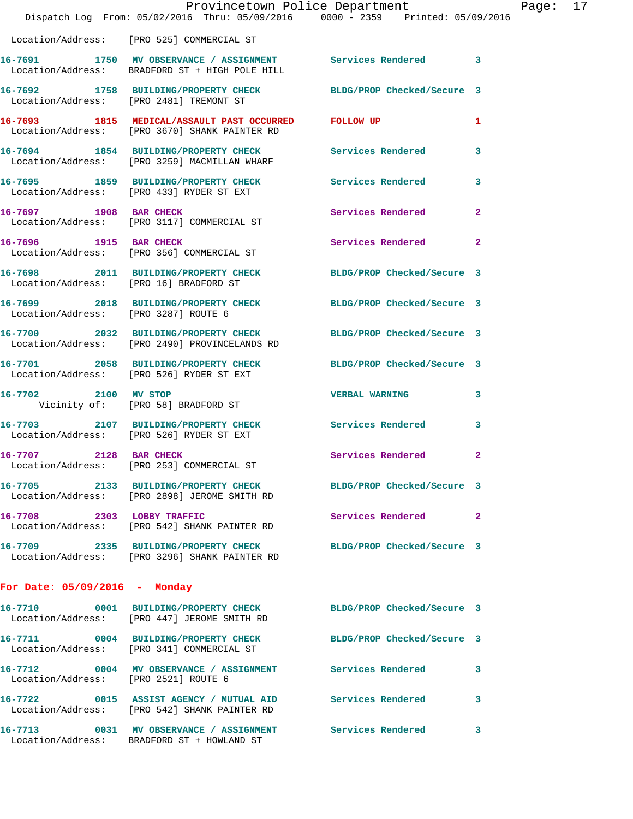|                                      | Provincetown Police Department<br>Dispatch Log From: 05/02/2016 Thru: 05/09/2016 0000 - 2359 Printed: 05/09/2016 |                            |                |
|--------------------------------------|------------------------------------------------------------------------------------------------------------------|----------------------------|----------------|
|                                      | Location/Address: [PRO 525] COMMERCIAL ST                                                                        |                            |                |
|                                      | 16-7691 1750 MV OBSERVANCE / ASSIGNMENT Services Rendered<br>Location/Address: BRADFORD ST + HIGH POLE HILL      |                            | $\mathbf{3}$   |
|                                      | 16-7692   1758   BUILDING/PROPERTY CHECK   BLDG/PROP Checked/Secure 3<br>Location/Address: [PRO 2481] TREMONT ST |                            |                |
|                                      | 16-7693 1815 MEDICAL/ASSAULT PAST OCCURRED FOLLOW UP<br>Location/Address: [PRO 3670] SHANK PAINTER RD            |                            | 1              |
|                                      | 16-7694 1854 BUILDING/PROPERTY CHECK<br>Location/Address: [PRO 3259] MACMILLAN WHARF                             | Services Rendered          | 3              |
|                                      | 16-7695 1859 BUILDING/PROPERTY CHECK Services Rendered<br>Location/Address: [PRO 433] RYDER ST EXT               |                            | 3              |
| 16-7697 1908 BAR CHECK               | Location/Address: [PRO 3117] COMMERCIAL ST                                                                       | <b>Services Rendered</b>   | $\overline{a}$ |
| 16-7696 1915 BAR CHECK               | Location/Address: [PRO 356] COMMERCIAL ST                                                                        | <b>Services Rendered</b>   | $\mathbf{2}$   |
|                                      | 16-7698 2011 BUILDING/PROPERTY CHECK<br>Location/Address: [PRO 16] BRADFORD ST                                   | BLDG/PROP Checked/Secure 3 |                |
| Location/Address: [PRO 3287] ROUTE 6 | 16-7699 2018 BUILDING/PROPERTY CHECK                                                                             | BLDG/PROP Checked/Secure 3 |                |
|                                      | 16-7700 2032 BUILDING/PROPERTY CHECK BLDG/PROP Checked/Secure 3<br>Location/Address: [PRO 2490] PROVINCELANDS RD |                            |                |
|                                      | 16-7701 2058 BUILDING/PROPERTY CHECK BLDG/PROP Checked/Secure 3<br>Location/Address: [PRO 526] RYDER ST EXT      |                            |                |
|                                      | 16-7702 2100 MV STOP<br>Vicinity of: [PRO 58] BRADFORD ST                                                        | <b>VERBAL WARNING</b>      | 3              |
|                                      | 16-7703 2107 BUILDING/PROPERTY CHECK<br>Location/Address: [PRO 526] RYDER ST EXT                                 | Services Rendered          | 3              |
| 16-7707 2128 BAR CHECK               | Location/Address: [PRO 253] COMMERCIAL ST                                                                        | Services Rendered          | $\mathbf{2}$   |
|                                      | 16-7705 2133 BUILDING/PROPERTY CHECK BLDG/PROP Checked/Secure 3<br>Location/Address: [PRO 2898] JEROME SMITH RD  |                            |                |
| 16-7708 2303 LOBBY TRAFFIC           | Location/Address: [PRO 542] SHANK PAINTER RD                                                                     | Services Rendered          | $\mathbf{2}$   |
|                                      | 16-7709 2335 BUILDING/PROPERTY CHECK BLDG/PROP Checked/Secure 3<br>Location/Address: [PRO 3296] SHANK PAINTER RD |                            |                |
| For Date: $05/09/2016$ - Monday      |                                                                                                                  |                            |                |
|                                      | 16-7710 0001 BUILDING/PROPERTY CHECK BLDG/PROP Checked/Secure 3<br>Location/Address: [PRO 447] JEROME SMITH RD   |                            |                |
|                                      | 16-7711 0004 BUILDING/PROPERTY CHECK BLDG/PROP Checked/Secure 3<br>Location/Address: [PRO 341] COMMERCIAL ST     |                            |                |
|                                      | 16-7712 0004 MV OBSERVANCE / ASSIGNMENT Services Rendered<br>Location/Address: [PRO 2521] ROUTE 6                |                            | 3              |
|                                      | 16-7722 0015 ASSIST AGENCY / MUTUAL AID Services Rendered<br>Location/Address: [PRO 542] SHANK PAINTER RD        |                            | 3              |
|                                      | 16-7713 0031 MV OBSERVANCE / ASSIGNMENT Services Rendered<br>Location/Address: BRADFORD ST + HOWLAND ST          |                            | 3.             |

Page:  $17<sub>6</sub>$